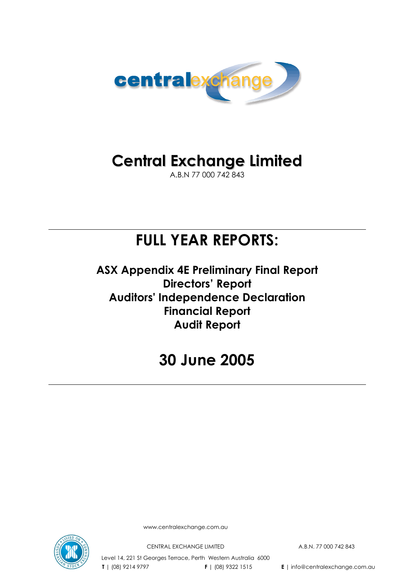

# **Central Exchange Limited**

A.B.N 77 000 742 843

# **FULL YEAR REPORTS:**

**ASX Appendix 4E Preliminary Final Report Directors' Report Auditors' Independence Declaration Financial Report Audit Report** 

# **30 June 2005**



www.centralexchange.com.au

CENTRAL EXCHANGE LIMITED A.B.N. 77 000 742 843

Level 14, 221 St Georges Terrace, Perth Western Australia 6000  **T** | (08) 9214 9797 **F** | (08) 9322 1515 **E** | info@centralexchange.com.au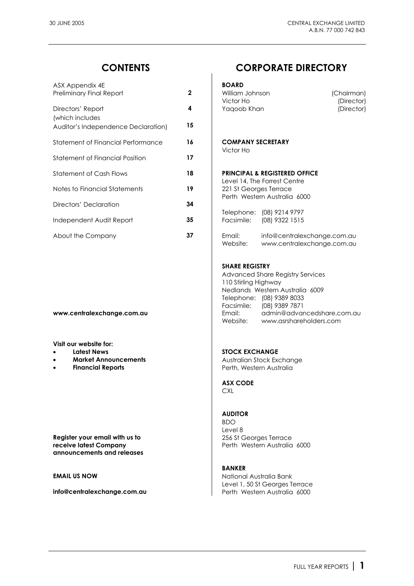| ASX Appendix 4E<br>Preliminary Final Report                                 | $\mathbf{2}$ | <b>BOARD</b><br>William Johnson<br>(Chairman)<br>Victor Ho<br>(Director) |
|-----------------------------------------------------------------------------|--------------|--------------------------------------------------------------------------|
| Directors' Report<br>(which includes<br>Auditor's Independence Declaration) | 4<br>15      | Yaqoob Khan<br>(Director)                                                |
| Statement of Financial Performance                                          | 16           | <b>COMPANY SECRETARY</b><br>Victor Ho                                    |
| Statement of Financial Position                                             | 17           |                                                                          |
| <b>Statement of Cash Flows</b>                                              | 18           | <b>PRINCIPAL &amp; REGISTERED OFFICE</b><br>Level 14, The Forrest Centre |
| Notes to Financial Statements                                               | 19           | 221 St Georges Terrace<br>Perth Western Australia 6000                   |
| Directors' Declaration                                                      | 34           | (08) 9214 9797<br>Telephone:                                             |
| Independent Audit Report                                                    | 35           | Facsimile:<br>(08) 9322 1515                                             |
| About the Company                                                           | 37           | Email:<br>info@centralexchange.com.au                                    |

**Visit our website for:** 

- 
- 
- 

**Register your email with us to <br>
<b>Register your email with us to** <br> **Perth Western Australia**<br>
Perth Western Australia **announcements and releases** 

## **CONTENTS CORPORATE DIRECTORY**

BOARD

| William Johnson |
|-----------------|
| Victor Ho       |
| Yaqoob Khan     |

#### Statement of Financial Performance **16 COMPANY SECRETARY**  Victor Ho

## **PRINCIPAL & REGISTERED OFFICE**

Email: info@centralexchange.com.au Website: www.centralexchange.com.au

#### **SHARE REGISTRY**

 Advanced Share Registry Services 110 Stirling Highway Nedlands Western Australia 6009 Telephone: (08) 9389 8033 Facsimile: (08) 9389 7871 **www.centralexchange.com.au** Email: admin@advancedshare.com.au Website: www.asrshareholders.com

#### **Latest News Contract Contract Contract Contract Contract Contract Contract Contract Contract Contract Contract Contract Contract Contract Contract Contract Contract Contract Contract Contract Contract Contract Contract Co**

**Market Announcements Australian Stock Exchange Financial Reports Perth, Western Australia** 

> **ASX CODE CXL**

### **AUDITOR**

 BDO Level 8 Perth Western Australia 6000

### **BANKER**

**EMAIL US NOW CONSUMING THE CONSUMING SERVICE AND AUSTRALIA BANK**  Level 1, 50 St Georges Terrace **info@centralexchange.com.au by Perth Western Australia 6000**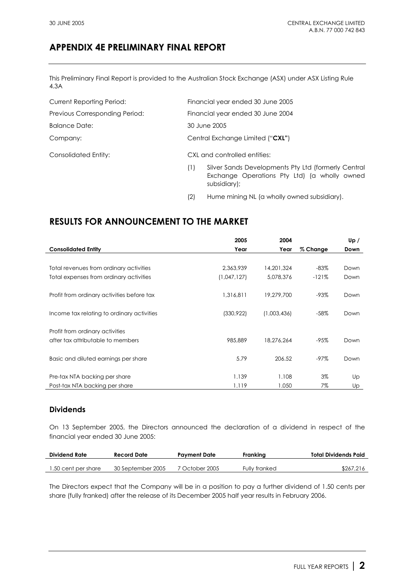## **APPENDIX 4E PRELIMINARY FINAL REPORT**

This Preliminary Final Report is provided to the Australian Stock Exchange (ASX) under ASX Listing Rule 4.3A

| <b>Current Reporting Period:</b> | Financial year ended 30 June 2005                                                                                          |
|----------------------------------|----------------------------------------------------------------------------------------------------------------------------|
| Previous Corresponding Period:   | Financial year ended 30 June 2004                                                                                          |
| Balance Date:                    | 30 June 2005                                                                                                               |
| Company:                         | Central Exchange Limited ("CXL")                                                                                           |
| Consolidated Entity:             | CXL and controlled entities:                                                                                               |
|                                  | Silver Sands Developments Pty Ltd (formerly Central<br>(1)<br>Exchange Operations Pty Ltd) (a wholly owned<br>subsidiary); |

(2) Hume mining NL (a wholly owned subsidiary).

## **RESULTS FOR ANNOUNCEMENT TO THE MARKET**

|                                            | 2005        | 2004        |          | Up / |
|--------------------------------------------|-------------|-------------|----------|------|
| <b>Consolidated Entity</b>                 | Year        | Year        | % Change | Down |
|                                            |             |             |          |      |
| Total revenues from ordinary activities    | 2,363,939   | 14,201,324  | $-83%$   | Down |
| Total expenses from ordinary activities    | (1,047,127) | 5,078,376   | $-121%$  | Down |
|                                            |             |             |          |      |
| Profit from ordinary activities before tax | 1,316,811   | 19,279,700  | -93%     | Down |
|                                            |             |             |          |      |
| Income tax relating to ordinary activities | (330, 922)  | (1,003,436) | $-58\%$  | Down |
|                                            |             |             |          |      |
| Profit from ordinary activities            |             |             |          |      |
| after tax attributable to members          | 985,889     | 18,276,264  | $-95%$   | Down |
|                                            |             |             |          |      |
| Basic and diluted earnings per share       | 5.79        | 206.52      | -97%     | Down |
|                                            |             |             |          |      |
| Pre-tax NTA backing per share              | 1.139       | 1.108       | $3\%$    | Up   |
| Post-tax NTA backing per share             | 1.119       | 1.050       | 7%       | Up   |

## **Dividends**

On 13 September 2005, the Directors announced the declaration of a dividend in respect of the financial year ended 30 June 2005:

| <b>Dividend Rate</b> | Record Date       | Pavment Date   | Frankina      | Total Dividends Paid |
|----------------------|-------------------|----------------|---------------|----------------------|
|                      |                   |                |               |                      |
| 1.50 cent per share  | 30 September 2005 | 7 October 2005 | Fully franked | \$267.216            |

The Directors expect that the Company will be in a position to pay a further dividend of 1.50 cents per share (fully franked) after the release of its December 2005 half year results in February 2006.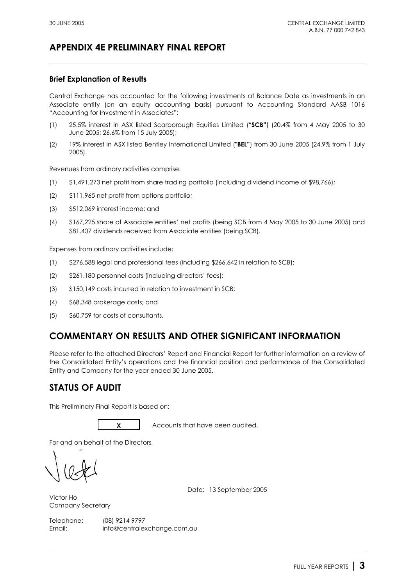## **APPENDIX 4E PRELIMINARY FINAL REPORT**

## **Brief Explanation of Results**

Central Exchange has accounted for the following investments at Balance Date as investments in an Associate entity (on an equity accounting basis) pursuant to Accounting Standard AASB 1016 "Accounting for Investment in Associates":

- (1) 25.5% interest in ASX listed Scarborough Equities Limited (**"SCB"**) (20.4% from 4 May 2005 to 30 June 2005; 26.6% from 15 July 2005);
- (2) 19% interest in ASX listed Bentley International Limited (**"BEL"**) from 30 June 2005 (24.9% from 1 July 2005).

Revenues from ordinary activities comprise:

- (1) \$1,491,273 net profit from share trading portfolio (including dividend income of \$98,766);
- (2) \$111,965 net profit from options portfolio;
- (3) \$512,069 interest income; and
- (4) \$167,225 share of Associate entities' net profits (being SCB from 4 May 2005 to 30 June 2005) and \$81,407 dividends received from Associate entities (being SCB).

Expenses from ordinary activities include:

- (1) \$276,588 legal and professional fees (including \$266,642 in relation to SCB);
- (2) \$261,180 personnel costs (including directors' fees);
- (3) \$150,149 costs incurred in relation to investment in SCB;
- (4) \$68,348 brokerage costs; and
- (5) \$60,759 for costs of consultants.

## **COMMENTARY ON RESULTS AND OTHER SIGNIFICANT INFORMATION**

Please refer to the attached Directors' Report and Financial Report for further information on a review of the Consolidated Entity's operations and the financial position and performance of the Consolidated Entity and Company for the year ended 30 June 2005.

## **STATUS OF AUDIT**

This Preliminary Final Report is based on:



**X** Accounts that have been audited.

For and on behalf of the Directors,

Date: 13 September 2005

Victor Ho Company Secretary

Telephone: (08) 9214 9797 Email: info@centralexchange.com.au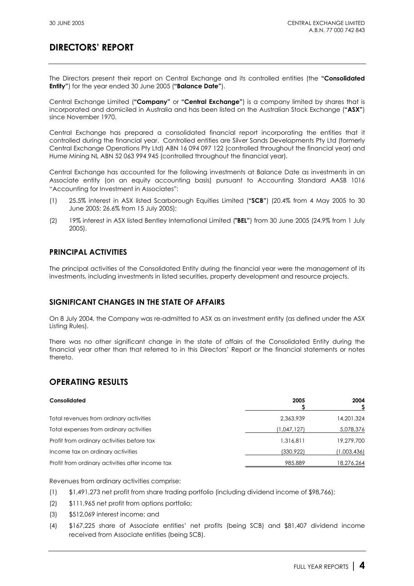The Directors present their report on Central Exchange and its controlled entities (the **"Consolidated Entity"**) for the year ended 30 June 2005 (**"Balance Date"**).

Central Exchange Limited (**"Company"** or **"Central Exchange"**) is a company limited by shares that is incorporated and domiciled in Australia and has been listed on the Australian Stock Exchange (**"ASX"**) since November 1970.

Central Exchange has prepared a consolidated financial report incorporating the entities that it controlled during the financial year. Controlled entities are Silver Sands Developments Pty Ltd (formerly Central Exchange Operations Pty Ltd) ABN 16 094 097 122 (controlled throughout the financial year) and Hume Mining NL ABN 52 063 994 945 (controlled throughout the financial year).

Central Exchange has accounted for the following investments at Balance Date as investments in an Associate entity (on an equity accounting basis) pursuant to Accounting Standard AASB 1016 "Accounting for Investment in Associates":

- (1) 25.5% interest in ASX listed Scarborough Equities Limited (**"SCB"**) (20.4% from 4 May 2005 to 30 June 2005; 26.6% from 15 July 2005);
- (2) 19% interest in ASX listed Bentley International Limited (**"BEL"**) from 30 June 2005 (24.9% from 1 July 2005).

## **PRINCIPAL ACTIVITIES**

The principal activities of the Consolidated Entity during the financial year were the management of its investments, including investments in listed securities, property development and resource projects.

## **SIGNIFICANT CHANGES IN THE STATE OF AFFAIRS**

On 8 July 2004, the Company was re-admitted to ASX as an investment entity (as defined under the ASX Listing Rules).

There was no other significant change in the state of affairs of the Consolidated Entity during the financial year other than that referred to in this Directors' Report or the financial statements or notes thereto.

## **OPERATING RESULTS**

| Consolidated                                     | 2005        | 2004        |
|--------------------------------------------------|-------------|-------------|
| Total revenues from ordinary activities          | 2.363.939   | 14,201,324  |
| Total expenses from ordinary activities          | (1,047,127) | 5,078,376   |
| Profit from ordinary activities before tax       | 1.316.811   | 19,279,700  |
| Income tax on ordinary activities                | (330, 922)  | (1,003,436) |
| Profit from ordinary activities after income tax | 985,889     | 18,276,264  |

Revenues from ordinary activities comprise:

- (1) \$1,491,273 net profit from share trading portfolio (including dividend income of \$98,766);
- (2) \$111,965 net profit from options portfolio;
- (3) \$512,069 interest income; and
- (4) \$167,225 share of Associate entities' net profits (being SCB) and \$81,407 dividend income received from Associate entities (being SCB).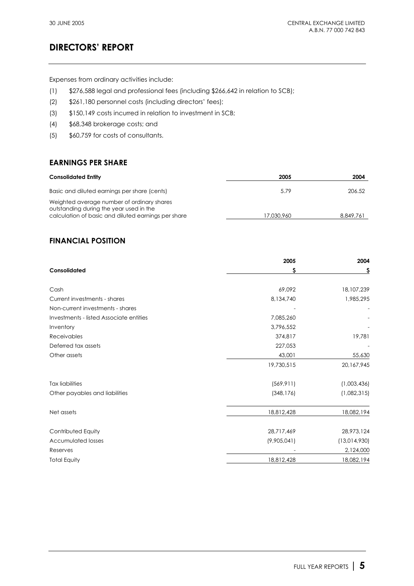Expenses from ordinary activities include:

- (1) \$276,588 legal and professional fees (including \$266,642 in relation to SCB);
- (2) \$261,180 personnel costs (including directors' fees);
- (3) \$150,149 costs incurred in relation to investment in SCB;
- (4) \$68,348 brokerage costs; and
- (5) \$60,759 for costs of consultants.

## **EARNINGS PER SHARE**

| <b>Consolidated Entity</b>                                                                                                                   | 2005       | 2004      |
|----------------------------------------------------------------------------------------------------------------------------------------------|------------|-----------|
| Basic and diluted earnings per share (cents)                                                                                                 | 5.79       | 206.52    |
| Weighted average number of ordinary shares<br>outstanding during the year used in the<br>calculation of basic and diluted earnings per share | 17.030.960 | 8.849.761 |

## **FINANCIAL POSITION**

|                                         | 2005        | 2004         |  |
|-----------------------------------------|-------------|--------------|--|
| Consolidated                            | S           | \$           |  |
| Cash                                    | 69,092      | 18,107,239   |  |
| Current investments - shares            | 8,134,740   | 1,985,295    |  |
| Non-current investments - shares        |             |              |  |
| Investments - listed Associate entities | 7,085,260   |              |  |
| Inventory                               | 3,796,552   |              |  |
| <b>Receivables</b>                      | 374,817     | 19,781       |  |
| Deferred tax assets                     | 227,053     |              |  |
| Other assets                            | 43,001      | 55,630       |  |
|                                         | 19,730,515  | 20,167,945   |  |
| <b>Tax liabilities</b>                  | (569, 911)  | (1,003,436)  |  |
| Other payables and liabilities          | (348, 176)  | (1,082,315)  |  |
| Net assets                              | 18,812,428  | 18,082,194   |  |
| Contributed Equity                      | 28,717,469  | 28,973,124   |  |
| <b>Accumulated losses</b>               | (9,905,041) | (13,014,930) |  |
| Reserves                                |             | 2,124,000    |  |
| <b>Total Equity</b>                     | 18,812,428  | 18,082,194   |  |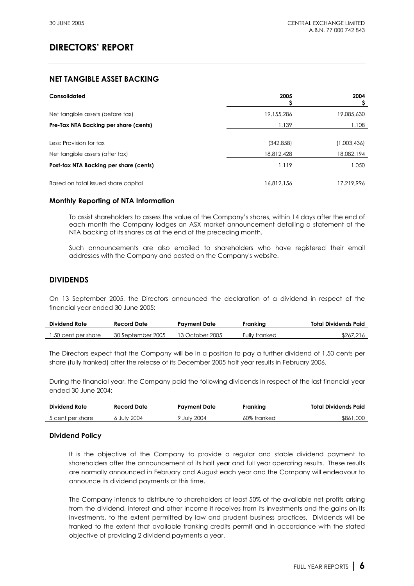## **NET TANGIBLE ASSET BACKING**

| Consolidated                                               | 2005                     | 2004                      |
|------------------------------------------------------------|--------------------------|---------------------------|
| Net tangible assets (before tax)                           | 19,155,286               | 19,085,630                |
| Pre-Tax NTA Backing per share (cents)                      | 1.139                    | 1.108                     |
| Less: Provision for tax<br>Net tangible assets (after tax) | (342, 858)<br>18,812,428 | (1,003,436)<br>18,082,194 |
| Post-tax NTA Backing per share (cents)                     | 1.119                    | 1.050                     |
| Based on total issued share capital                        | 16.812.156               | 17,219,996                |

### **Monthly Reporting of NTA Information**

To assist shareholders to assess the value of the Company's shares, within 14 days after the end of each month the Company lodges an ASX market announcement detailing a statement of the NTA backing of its shares as at the end of the preceding month.

Such announcements are also emailed to shareholders who have registered their email addresses with the Company and posted on the Company's website.

### **DIVIDENDS**

On 13 September 2005, the Directors announced the declaration of a dividend in respect of the financial year ended 30 June 2005:

| <b>Dividend Rate</b> | Record Date       | Pavment Date    | Frankina      | Total Dividends Paid |
|----------------------|-------------------|-----------------|---------------|----------------------|
| 1.50 cent per share  | 30 September 2005 | 13 October 2005 | Fully franked | \$267.216            |

The Directors expect that the Company will be in a position to pay a further dividend of 1.50 cents per share (fully franked) after the release of its December 2005 half year results in February 2006.

During the financial year, the Company paid the following dividends in respect of the last financial year ended 30 June 2004:

| <b>Dividend Rate</b> | Record Date      | Pavment Date     | Frankina    | Total Dividends Paid |
|----------------------|------------------|------------------|-------------|----------------------|
| 5 cent per share     | <b>July 2004</b> | <b>July 2004</b> | 60% franked | \$861,000            |

### **Dividend Policy**

It is the objective of the Company to provide a regular and stable dividend payment to shareholders after the announcement of its half year and full year operating results. These results are normally announced in February and August each year and the Company will endeavour to announce its dividend payments at this time.

The Company intends to distribute to shareholders at least 50% of the available net profits arising from the dividend, interest and other income it receives from its investments and the gains on its investments, to the extent permitted by law and prudent business practices. Dividends will be franked to the extent that available franking credits permit and in accordance with the stated objective of providing 2 dividend payments a year.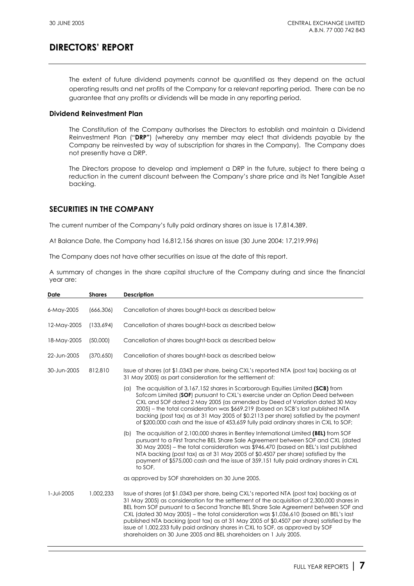The extent of future dividend payments cannot be quantified as they depend on the actual operating results and net profits of the Company for a relevant reporting period. There can be no guarantee that any profits or dividends will be made in any reporting period.

### **Dividend Reinvestment Plan**

The Constitution of the Company authorises the Directors to establish and maintain a Dividend Reinvestment Plan ("**DRP"**) (whereby any member may elect that dividends payable by the Company be reinvested by way of subscription for shares in the Company). The Company does not presently have a DRP.

The Directors propose to develop and implement a DRP in the future, subject to there being a reduction in the current discount between the Company's share price and its Net Tangible Asset backing.

## **SECURITIES IN THE COMPANY**

The current number of the Company's fully paid ordinary shares on issue is 17,814,389.

At Balance Date, the Company had 16,812,156 shares on issue (30 June 2004: 17,219,996)

The Company does not have other securities on issue at the date of this report.

A summary of changes in the share capital structure of the Company during and since the financial year are:

| Date        | <b>Shares</b> | <b>Description</b>                                                                                                                                                                                                                                                                                                                                                                                                                                                                                                                                                                                                            |
|-------------|---------------|-------------------------------------------------------------------------------------------------------------------------------------------------------------------------------------------------------------------------------------------------------------------------------------------------------------------------------------------------------------------------------------------------------------------------------------------------------------------------------------------------------------------------------------------------------------------------------------------------------------------------------|
| 6-May-2005  | (666, 306)    | Cancellation of shares bought-back as described below                                                                                                                                                                                                                                                                                                                                                                                                                                                                                                                                                                         |
| 12-May-2005 | (133,694)     | Cancellation of shares bought-back as described below                                                                                                                                                                                                                                                                                                                                                                                                                                                                                                                                                                         |
| 18-May-2005 | (50,000)      | Cancellation of shares bought-back as described below                                                                                                                                                                                                                                                                                                                                                                                                                                                                                                                                                                         |
| 22-Jun-2005 | (370, 650)    | Cancellation of shares bought-back as described below                                                                                                                                                                                                                                                                                                                                                                                                                                                                                                                                                                         |
| 30-Jun-2005 | 812,810       | Issue of shares (at \$1.0343 per share, being CXL's reported NTA (post tax) backing as at<br>31 May 2005) as part consideration for the settlement of:                                                                                                                                                                                                                                                                                                                                                                                                                                                                        |
|             |               | The acquisition of 3,167,152 shares in Scarborough Equities Limited (SCB) from<br>$(\alpha)$<br>Sofcom Limited (SOF) pursuant to CXL's exercise under an Option Deed between<br>CXL and SOF dated 2 May 2005 (as amended by Deed of Variation dated 30 May<br>2005) – the total consideration was \$669,219 (based on SCB's last published NTA<br>backing (post tax) as at 31 May 2005 of \$0.2113 per share) satisfied by the payment<br>of \$200,000 cash and the issue of 453,659 fully paid ordinary shares in CXL to SOF;                                                                                                |
|             |               | The acquisition of 2,100,000 shares in Bentley International Limited (BEL) from SOF<br>(b)<br>pursuant to a First Tranche BEL Share Sale Agreement between SOF and CXL (dated<br>30 May 2005) – the total consideration was \$946,470 (based on BEL's last published<br>NTA backing (post tax) as at 31 May 2005 of \$0.4507 per share) satisfied by the<br>payment of \$575,000 cash and the issue of 359,151 fully paid ordinary shares in CXL<br>to SOF,                                                                                                                                                                   |
|             |               | as approved by SOF shareholders on 30 June 2005.                                                                                                                                                                                                                                                                                                                                                                                                                                                                                                                                                                              |
| 1-Jul-2005  | 1,002,233     | Issue of shares (at \$1.0343 per share, being CXL's reported NTA (post tax) backing as at<br>31 May 2005) as consideration for the settlement of the acquisition of 2,300,000 shares in<br>BEL from SOF pursuant to a Second Tranche BEL Share Sale Agreement between SOF and<br>CXL (dated 30 May 2005) – the total consideration was \$1,036,610 (based on BEL's last<br>published NTA backing (post tax) as at 31 May 2005 of \$0.4507 per share) satisfied by the<br>issue of 1,002,233 fully paid ordinary shares in CXL to SOF, as approved by SOF<br>shareholders on 30 June 2005 and BEL shareholders on 1 July 2005. |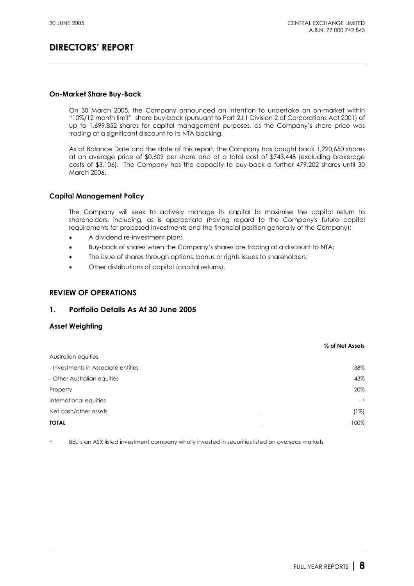### **On-Market Share Buy-Back**

On 30 March 2005, the Company announced an intention to undertake an on-market within "10%/12 month limit" share buy-back (pursuant to Part 2J.1 Division 2 of Corporations Act 2001) of up to 1,699,852 shares for capital management purposes, as the Company's share price was trading at a significant discount to its NTA backing.

As at Balance Date and the date of this report, the Company has bought back 1,220,650 shares at an average price of \$0.609 per share and at a total cost of \$743,448 (excluding brokerage costs of \$3,106). The Company has the capacity to buy-back a further 479,202 shares until 30 March 2006.

## **Capital Management Policy**

The Company will seek to actively manage its capital to maximise the capital return to shareholders, including, as is appropriate (having regard to the Company's future capital requirements for proposed investments and the financial position generally of the Company):

- A dividend re-investment plan;
- Buy-back of shares when the Company's shares are trading at a discount to NTA;
- The issue of shares through options, bonus or rights issues to shareholders;
- Other distributions of capital (capital returns).

## **REVIEW OF OPERATIONS**

### **1. Portfolio Details As At 30 June 2005**

### **Asset Weighting**

|                                     | % of Net Assets |
|-------------------------------------|-----------------|
| Australian equities                 |                 |
| - Investments in Associate entities | 38%             |
| - Other Australian equities         | 43%             |
| Property                            | 20%             |
| International equities              | $-$ +           |
| Net cash/other assets               | (1%)            |
| <b>TOTAL</b>                        | 100%            |

+ BEL is an ASX listed investment company wholly invested in securities listed on overseas markets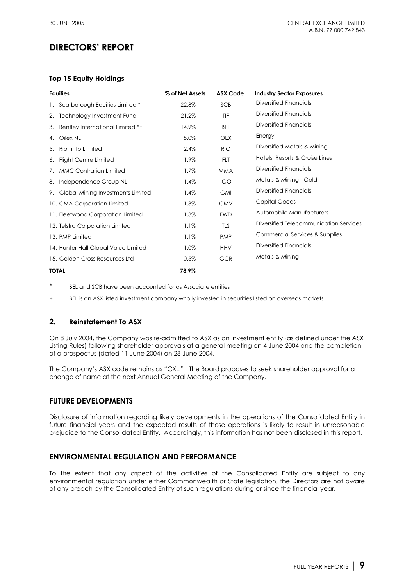## **Top 15 Equity Holdings**

|    | <b>Equities</b>                      | % of Net Assets | <b>ASX Code</b> | <b>Industry Sector Exposures</b>       |
|----|--------------------------------------|-----------------|-----------------|----------------------------------------|
| 1. | Scarborough Equities Limited *       | 22.8%           | SCB             | Diversified Financials                 |
| 2. | Technology Investment Fund           | 21.2%           | TIF             | Diversified Financials                 |
| 3. | Bentley International Limited **     | 14.9%           | <b>BEL</b>      | Diversified Financials                 |
| 4. | Oilex NL                             | 5.0%            | <b>OEX</b>      | Energy                                 |
| 5. | Rio Tinto Limited                    | 2.4%            | <b>RIO</b>      | Diversified Metals & Mining            |
| 6. | Flight Centre Limited                | 1.9%            | <b>FLT</b>      | Hotels, Resorts & Cruise Lines         |
| 7. | <b>MMC Contrarian Limited</b>        | 1.7%            | <b>MMA</b>      | Diversified Financials                 |
| 8. | Independence Group NL                | 1.4%            | <b>IGO</b>      | Metals & Mining - Gold                 |
| 9. | Global Mining Investments Limited    | 1.4%            | <b>GMI</b>      | Diversified Financials                 |
|    | 10. CMA Corporation Limited          | 1.3%            | <b>CMV</b>      | Capital Goods                          |
|    | 11. Fleetwood Corporation Limited    | 1.3%            | <b>FWD</b>      | Automobile Manufacturers               |
|    | 12. Telstra Corporation Limited      | 1.1%            | <b>TLS</b>      | Diversified Telecommunication Services |
|    | 13. PMP Limited                      | 1.1%            | <b>PMP</b>      | Commercial Services & Supplies         |
|    | 14. Hunter Hall Global Value Limited | 1.0%            | <b>HHV</b>      | Diversified Financials                 |
|    | 15. Golden Cross Resources Ltd       | 0.5%            | <b>GCR</b>      | Metals & Mining                        |
|    | <b>TOTAL</b>                         | 78.9%           |                 |                                        |

BEL and SCB have been accounted for as Associate entities

+ BEL is an ASX listed investment company wholly invested in securities listed on overseas markets

## **2. Reinstatement To ASX**

On 8 July 2004, the Company was re-admitted to ASX as an investment entity (as defined under the ASX Listing Rules) following shareholder approvals at a general meeting on 4 June 2004 and the completion of a prospectus (dated 11 June 2004) on 28 June 2004.

The Company's ASX code remains as "CXL." The Board proposes to seek shareholder approval for a change of name at the next Annual General Meeting of the Company.

## **FUTURE DEVELOPMENTS**

Disclosure of information regarding likely developments in the operations of the Consolidated Entity in future financial years and the expected results of those operations is likely to result in unreasonable prejudice to the Consolidated Entity. Accordingly, this information has not been disclosed in this report.

## **ENVIRONMENTAL REGULATION AND PERFORMANCE**

To the extent that any aspect of the activities of the Consolidated Entity are subject to any environmental regulation under either Commonwealth or State legislation, the Directors are not aware of any breach by the Consolidated Entity of such regulations during or since the financial year.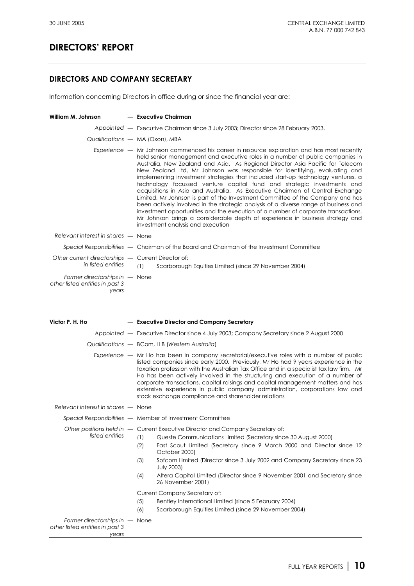## **DIRECTORS AND COMPANY SECRETARY**

Information concerning Directors in office during or since the financial year are:

| William M. Johnson                                                           | — Executive Chairman                                                                                                                                                                                                                                                                                                                                                                                                                                                                                                                                                                                                                                                                                                                                                                                                                                                                                                                                                            |
|------------------------------------------------------------------------------|---------------------------------------------------------------------------------------------------------------------------------------------------------------------------------------------------------------------------------------------------------------------------------------------------------------------------------------------------------------------------------------------------------------------------------------------------------------------------------------------------------------------------------------------------------------------------------------------------------------------------------------------------------------------------------------------------------------------------------------------------------------------------------------------------------------------------------------------------------------------------------------------------------------------------------------------------------------------------------|
|                                                                              | Appointed — Executive Chairman since 3 July 2003; Director since 28 February 2003.                                                                                                                                                                                                                                                                                                                                                                                                                                                                                                                                                                                                                                                                                                                                                                                                                                                                                              |
|                                                                              | Qualifications - MA (Oxon), MBA                                                                                                                                                                                                                                                                                                                                                                                                                                                                                                                                                                                                                                                                                                                                                                                                                                                                                                                                                 |
|                                                                              | Experience — Mr Johnson commenced his career in resource exploration and has most recently<br>held senior management and executive roles in a number of public companies in<br>Australia, New Zealand and Asia. As Regional Director Asia Pacific for Telecom<br>New Zealand Ltd, Mr Johnson was responsible for identifying, evaluating and<br>implementing investment strategies that included start-up technology ventures, a<br>technology focussed venture capital fund and strategic investments and<br>acquisitions in Asia and Australia. As Executive Chairman of Central Exchange<br>Limited, Mr Johnson is part of the Investment Committee of the Company and has<br>been actively involved in the strategic analysis of a diverse range of business and<br>investment opportunities and the execution of a number of corporate transactions.<br>Mr Johnson brings a considerable depth of experience in business strategy and<br>investment analysis and execution |
| Relevant interest in shares – None                                           |                                                                                                                                                                                                                                                                                                                                                                                                                                                                                                                                                                                                                                                                                                                                                                                                                                                                                                                                                                                 |
|                                                                              | Special Responsibilities - Chairman of the Board and Chairman of the Investment Committee                                                                                                                                                                                                                                                                                                                                                                                                                                                                                                                                                                                                                                                                                                                                                                                                                                                                                       |
| Other current directorships - Current Director of:<br>in listed entities     | (1)<br>Scarborough Equities Limited (since 29 November 2004)                                                                                                                                                                                                                                                                                                                                                                                                                                                                                                                                                                                                                                                                                                                                                                                                                                                                                                                    |
| Former directorships in $-$ None<br>other listed entities in past 3<br>years |                                                                                                                                                                                                                                                                                                                                                                                                                                                                                                                                                                                                                                                                                                                                                                                                                                                                                                                                                                                 |

| Victor P. H. Ho                                                              |  | - Executive Director and Company Secretary                                                                                                                                                                                                                                                                                                                                                                                                                                                                                                                                                                                                    |  |  |  |
|------------------------------------------------------------------------------|--|-----------------------------------------------------------------------------------------------------------------------------------------------------------------------------------------------------------------------------------------------------------------------------------------------------------------------------------------------------------------------------------------------------------------------------------------------------------------------------------------------------------------------------------------------------------------------------------------------------------------------------------------------|--|--|--|
|                                                                              |  | Appointed — Executive Director since 4 July 2003; Company Secretary since 2 August 2000                                                                                                                                                                                                                                                                                                                                                                                                                                                                                                                                                       |  |  |  |
|                                                                              |  | Qualifications - BCom, LLB (Western Australia)                                                                                                                                                                                                                                                                                                                                                                                                                                                                                                                                                                                                |  |  |  |
|                                                                              |  | Experience — Mr Ho has been in company secretarial/executive roles with a number of public<br>listed companies since early 2000. Previously, Mr Ho had 9 years experience in the<br>taxation profession with the Australian Tax Office and in a specialist tax law firm. Mr<br>Ho has been actively involved in the structuring and execution of a number of<br>corporate transactions, capital raisings and capital management matters and has<br>extensive experience in public company administration, corporations law and<br>stock exchange compliance and shareholder relations                                                         |  |  |  |
| Relevant interest in shares – None                                           |  |                                                                                                                                                                                                                                                                                                                                                                                                                                                                                                                                                                                                                                               |  |  |  |
|                                                                              |  | Special Responsibilities - Member of Investment Committee                                                                                                                                                                                                                                                                                                                                                                                                                                                                                                                                                                                     |  |  |  |
| listed entities                                                              |  | Other positions held in - Current Executive Director and Company Secretary of:<br>(1)<br>Queste Communications Limited (Secretary since 30 August 2000)<br>Fast Scout Limited (Secretary since 9 March 2000 and Director since 12<br>(2)<br>October 2000)<br>Sofcom Limited (Director since 3 July 2002 and Company Secretary since 23<br>(3)<br><b>July 2003)</b><br>Altera Capital Limited (Director since 9 November 2001 and Secretary since<br>(4)<br>26 November 2001)<br>Current Company Secretary of:<br>(5)<br>Bentley International Limited (since 5 February 2004)<br>(6)<br>Scarborough Equities Limited (since 29 November 2004) |  |  |  |
| Former directorships in $-$ None<br>other listed entities in past 3<br>years |  |                                                                                                                                                                                                                                                                                                                                                                                                                                                                                                                                                                                                                                               |  |  |  |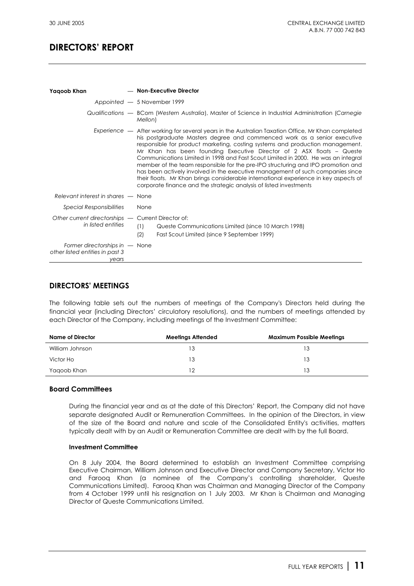| Yaqoob Khan                                                                  | - Non-Executive Director                                                                                                                                                                                                                                                                                                                                                                                                                                                                                                                                                                                                                                                                                                                                         |
|------------------------------------------------------------------------------|------------------------------------------------------------------------------------------------------------------------------------------------------------------------------------------------------------------------------------------------------------------------------------------------------------------------------------------------------------------------------------------------------------------------------------------------------------------------------------------------------------------------------------------------------------------------------------------------------------------------------------------------------------------------------------------------------------------------------------------------------------------|
|                                                                              | Appointed - 5 November 1999                                                                                                                                                                                                                                                                                                                                                                                                                                                                                                                                                                                                                                                                                                                                      |
|                                                                              | Qualifications — BCom (Western Australia), Master of Science in Industrial Administration (Carnegie<br>Mellon)                                                                                                                                                                                                                                                                                                                                                                                                                                                                                                                                                                                                                                                   |
|                                                                              | Experience — After working for several years in the Australian Taxation Office, Mr Khan completed<br>his postgraduate Masters degree and commenced work as a senior executive<br>responsible for product marketing, costing systems and production management.<br>Mr Khan has been founding Executive Director of 2 ASX floats – Queste<br>Communications Limited in 1998 and Fast Scout Limited in 2000. He was an integral<br>member of the team responsible for the pre-IPO structuring and IPO promotion and<br>has been actively involved in the executive management of such companies since<br>their floats. Mr Khan brings considerable international experience in key aspects of<br>corporate finance and the strategic analysis of listed investments |
| Relevant interest in shares – None                                           |                                                                                                                                                                                                                                                                                                                                                                                                                                                                                                                                                                                                                                                                                                                                                                  |
| <b>Special Responsibilities</b>                                              | None                                                                                                                                                                                                                                                                                                                                                                                                                                                                                                                                                                                                                                                                                                                                                             |
| Other current directorships - Current Director of:<br>in listed entities     | (1)<br>Queste Communications Limited (since 10 March 1998)<br>(2)<br>Fast Scout Limited (since 9 September 1999)                                                                                                                                                                                                                                                                                                                                                                                                                                                                                                                                                                                                                                                 |
| Former directorships in $-$ None<br>other listed entities in past 3<br>vears |                                                                                                                                                                                                                                                                                                                                                                                                                                                                                                                                                                                                                                                                                                                                                                  |

## **DIRECTORS' MEETINGS**

The following table sets out the numbers of meetings of the Company's Directors held during the financial year (including Directors' circulatory resolutions), and the numbers of meetings attended by each Director of the Company, including meetings of the Investment Committee:

| Name of Director | <b>Meetings Attended</b> | <b>Maximum Possible Meetings</b> |
|------------------|--------------------------|----------------------------------|
| William Johnson  | 13                       | 13                               |
| Victor Ho        | 13                       | 13                               |
| Yagoob Khan      | 12                       | 13                               |

### **Board Committees**

During the financial year and as at the date of this Directors' Report, the Company did not have separate designated Audit or Remuneration Committees. In the opinion of the Directors, in view of the size of the Board and nature and scale of the Consolidated Entity's activities, matters typically dealt with by an Audit or Remuneration Committee are dealt with by the full Board.

#### **Investment Committee**

On 8 July 2004, the Board determined to establish an Investment Committee comprising Executive Chairman, William Johnson and Executive Director and Company Secretary, Victor Ho and Farooq Khan (a nominee of the Company's controlling shareholder, Queste Communications Limited). Farooq Khan was Chairman and Managing Director of the Company from 4 October 1999 until his resignation on 1 July 2003. Mr Khan is Chairman and Managing Director of Queste Communications Limited.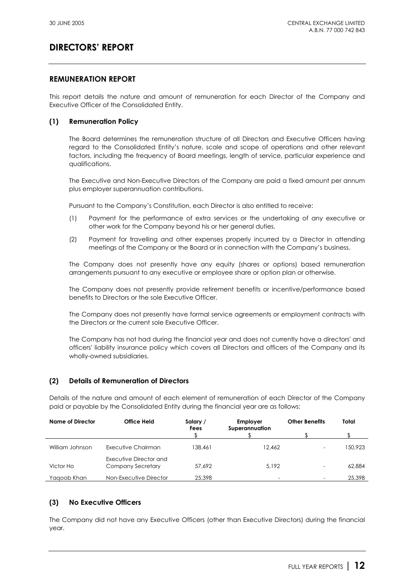## **REMUNERATION REPORT**

This report details the nature and amount of remuneration for each Director of the Company and Executive Officer of the Consolidated Entity.

### **(1) Remuneration Policy**

The Board determines the remuneration structure of all Directors and Executive Officers having regard to the Consolidated Entity's nature, scale and scope of operations and other relevant factors, including the frequency of Board meetings, length of service, particular experience and qualifications.

The Executive and Non-Executive Directors of the Company are paid a fixed amount per annum plus employer superannuation contributions.

Pursuant to the Company's Constitution, each Director is also entitled to receive:

- (1) Payment for the performance of extra services or the undertaking of any executive or other work for the Company beyond his or her general duties.
- (2) Payment for travelling and other expenses properly incurred by a Director in attending meetings of the Company or the Board or in connection with the Company's business.

The Company does not presently have any equity (shares or options) based remuneration arrangements pursuant to any executive or employee share or option plan or otherwise.

The Company does not presently provide retirement benefits or incentive/performance based benefits to Directors or the sole Executive Officer.

The Company does not presently have formal service agreements or employment contracts with the Directors or the current sole Executive Officer.

The Company has not had during the financial year and does not currently have a directors' and officers' liability insurance policy which covers all Directors and officers of the Company and its wholly-owned subsidiaries.

### **(2) Details of Remuneration of Directors**

Details of the nature and amount of each element of remuneration of each Director of the Company paid or payable by the Consolidated Entity during the financial year are as follows:

| Name of Director | <b>Office Held</b>                          | Salary /<br>Fees | Employer<br>Superannuation | <b>Other Benefits</b>    | Total   |
|------------------|---------------------------------------------|------------------|----------------------------|--------------------------|---------|
|                  |                                             |                  |                            |                          |         |
| William Johnson  | Executive Chairman                          | 138,461          | 12,462                     | $\overline{\phantom{0}}$ | 150,923 |
| Victor Ho        | Executive Director and<br>Company Secretary | 57,692           | 5.192                      | -                        | 62,884  |
| Yagoob Khan      | Non-Executive Director                      | 25,398           | $\overline{\phantom{0}}$   | $\overline{\phantom{0}}$ | 25,398  |

### **(3) No Executive Officers**

The Company did not have any Executive Officers (other than Executive Directors) during the financial year.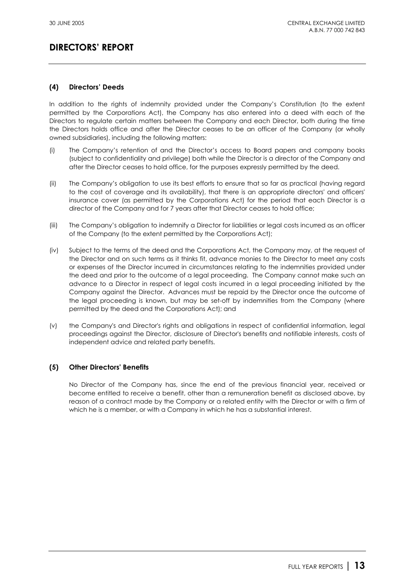## **(4) Directors' Deeds**

In addition to the rights of indemnity provided under the Company's Constitution (to the extent permitted by the Corporations Act), the Company has also entered into a deed with each of the Directors to regulate certain matters between the Company and each Director, both during the time the Directors holds office and after the Director ceases to be an officer of the Company (or wholly owned subsidiaries), including the following matters:

- (i) The Company's retention of and the Director's access to Board papers and company books (subject to confidentiality and privilege) both while the Director is a director of the Company and after the Director ceases to hold office, for the purposes expressly permitted by the deed.
- (ii) The Company's obligation to use its best efforts to ensure that so far as practical (having regard to the cost of coverage and its availability), that there is an appropriate directors' and officers' insurance cover (as permitted by the Corporations Act) for the period that each Director is a director of the Company and for 7 years after that Director ceases to hold office;
- (iii) The Company's obligation to indemnify a Director for liabilities or legal costs incurred as an officer of the Company (to the extent permitted by the Corporations Act);
- (iv) Subject to the terms of the deed and the Corporations Act, the Company may, at the request of the Director and on such terms as it thinks fit, advance monies to the Director to meet any costs or expenses of the Director incurred in circumstances relating to the indemnities provided under the deed and prior to the outcome of a legal proceeding. The Company cannot make such an advance to a Director in respect of legal costs incurred in a legal proceeding initiated by the Company against the Director. Advances must be repaid by the Director once the outcome of the legal proceeding is known, but may be set-off by indemnities from the Company (where permitted by the deed and the Corporations Act); and
- (v) the Company's and Director's rights and obligations in respect of confidential information, legal proceedings against the Director, disclosure of Director's benefits and notifiable interests, costs of independent advice and related party benefits.

### **(5) Other Directors' Benefits**

No Director of the Company has, since the end of the previous financial year, received or become entitled to receive a benefit, other than a remuneration benefit as disclosed above, by reason of a contract made by the Company or a related entity with the Director or with a firm of which he is a member, or with a Company in which he has a substantial interest.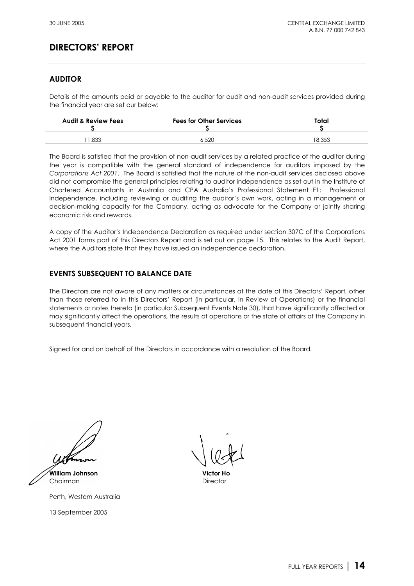## **AUDITOR**

Details of the amounts paid or payable to the auditor for audit and non-audit services provided during the financial year are set our below:

| <b>Audit &amp; Review Fees</b> | <b>Fees for Other Services</b> | Total  |  |
|--------------------------------|--------------------------------|--------|--|
| .833                           | 6.520                          | 18.353 |  |

The Board is satisfied that the provision of non-audit services by a related practice of the auditor during the year is compatible with the general standard of independence for auditors imposed by the *Corporations Act 2001*. The Board is satisfied that the nature of the non-audit services disclosed above did not compromise the general principles relating to auditor independence as set out in the Institute of Chartered Accountants in Australia and CPA Australia's Professional Statement F1: Professional Independence, including reviewing or auditing the auditor's own work, acting in a management or decision-making capacity for the Company, acting as advocate for the Company or jointly sharing economic risk and rewards.

A copy of the Auditor's Independence Declaration as required under section 307C of the Corporations Act 2001 forms part of this Directors Report and is set out on page 15. This relates to the Audit Report, where the Auditors state that they have issued an independence declaration.

## **EVENTS SUBSEQUENT TO BALANCE DATE**

The Directors are not aware of any matters or circumstances at the date of this Directors' Report, other than those referred to in this Directors' Report (in particular, in Review of Operations) or the financial statements or notes thereto (in particular Subsequent Events Note 30), that have significantly affected or may significantly affect the operations, the results of operations or the state of affairs of the Company in subsequent financial years.

Signed for and on behalf of the Directors in accordance with a resolution of the Board.

**William Johnson Victor Ho**

Chairman Director

Perth, Western Australia

13 September 2005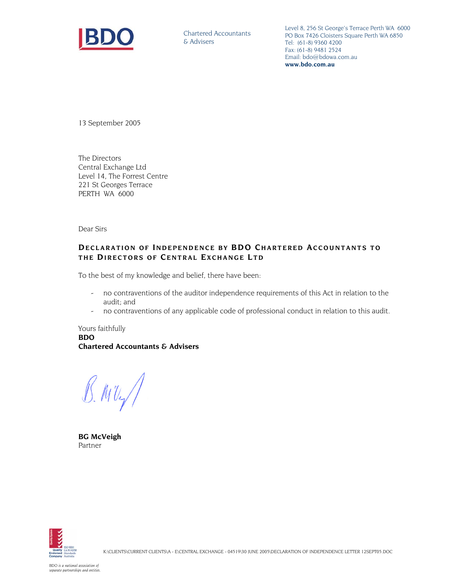

Chartered Accountants & Advisers

Level 8, 256 St George's Terrace Perth WA 6000 PO Box 7426 Cloisters Square Perth WA 6850 Tel: (61-8) 9360 4200 Fax: (61-8) 9481 2524 Email: bdo@bdowa.com.au **www.bdo.com.au** 

13 September 2005

The Directors Central Exchange Ltd Level 14, The Forrest Centre 221 St Georges Terrace PERTH WA 6000

Dear Sirs

### **DECLARATION OF I NDEPENDENCE BY BDO C HARTERED ACCOUNTANTS TO**  THE DIRECTORS OF CENTRAL EXCHANGE LTD

To the best of my knowledge and belief, there have been:

- no contraventions of the auditor independence requirements of this Act in relation to the audit; and
- no contraventions of any applicable code of professional conduct in relation to this audit.

Yours faithfully **BDO Chartered Accountants & Advisers** 

 $B.MU$ 

**BG McVeigh**  Partner

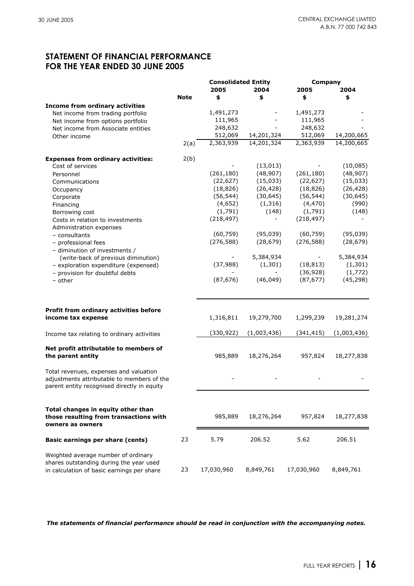## **STATEMENT OF FINANCIAL PERFORMANCE FOR THE YEAR ENDED 30 JUNE 2005**

|                                                                                                                                     |             | <b>Consolidated Entity</b> |             |                          | Company     |  |
|-------------------------------------------------------------------------------------------------------------------------------------|-------------|----------------------------|-------------|--------------------------|-------------|--|
|                                                                                                                                     |             | 2005                       | 2004        | 2005                     | 2004        |  |
|                                                                                                                                     | <b>Note</b> | \$                         | \$          | \$                       | \$          |  |
| <b>Income from ordinary activities</b>                                                                                              |             |                            |             |                          |             |  |
| Net income from trading portfolio                                                                                                   |             | 1,491,273                  |             | 1,491,273                |             |  |
| Net income from options portfolio                                                                                                   |             | 111,965                    |             | 111,965                  |             |  |
| Net income from Associate entities                                                                                                  |             | 248,632                    |             | 248,632                  |             |  |
| Other income                                                                                                                        |             | 512,069                    | 14,201,324  | 512,069                  | 14,200,665  |  |
|                                                                                                                                     | 2(a)        | 2,363,939                  | 14,201,324  | 2,363,939                | 14,200,665  |  |
| <b>Expenses from ordinary activities:</b>                                                                                           | 2(b)        |                            |             |                          |             |  |
| Cost of services                                                                                                                    |             |                            | (13, 013)   |                          | (10, 085)   |  |
| Personnel                                                                                                                           |             | (261, 180)                 | (48, 907)   | (261, 180)               | (48, 907)   |  |
| Communications                                                                                                                      |             | (22, 627)                  | (15,033)    | (22, 627)                | (15,033)    |  |
| Occupancy                                                                                                                           |             | (18, 826)                  | (26, 428)   | (18, 826)                | (26, 428)   |  |
| Corporate                                                                                                                           |             | (56, 544)                  | (30, 645)   | (56, 544)                | (30, 645)   |  |
| Financing                                                                                                                           |             | (4,652)                    | (1, 316)    | (4, 470)                 | (990)       |  |
| Borrowing cost                                                                                                                      |             | (1,791)                    | (148)       | (1,791)                  | (148)       |  |
| Costs in relation to investments                                                                                                    |             | (218, 497)                 |             | (218, 497)               |             |  |
| Administration expenses                                                                                                             |             |                            | (95, 039)   |                          | (95, 039)   |  |
| - consultants                                                                                                                       |             | (60, 759)                  |             | (60, 759)                |             |  |
| - professional fees                                                                                                                 |             | (276, 588)                 | (28, 679)   | (276, 588)               | (28, 679)   |  |
| - diminution of investments /                                                                                                       |             |                            | 5,384,934   | $\overline{\phantom{0}}$ | 5,384,934   |  |
| (write-back of previous diminution)                                                                                                 |             | (37, 988)                  |             | (18, 813)                | (1, 301)    |  |
| - exploration expenditure (expensed)                                                                                                |             |                            | (1,301)     | (36, 928)                | (1, 772)    |  |
| - provision for doubtful debts                                                                                                      |             |                            |             |                          | (45, 298)   |  |
| - other                                                                                                                             |             | (87, 676)                  | (46, 049)   | (87, 677)                |             |  |
| Profit from ordinary activities before                                                                                              |             |                            |             |                          |             |  |
| income tax expense                                                                                                                  |             | 1,316,811                  | 19,279,700  | 1,299,239                | 19,281,274  |  |
| Income tax relating to ordinary activities                                                                                          |             | (330, 922)                 | (1,003,436) | (341, 415)               | (1,003,436) |  |
| Net profit attributable to members of<br>the parent entity                                                                          |             | 985,889                    | 18,276,264  | 957,824                  | 18,277,838  |  |
| Total revenues, expenses and valuation<br>adjustments attributable to members of the<br>parent entity recognised directly in equity |             |                            |             |                          |             |  |
|                                                                                                                                     |             |                            |             |                          |             |  |
| Total changes in equity other than<br>those resulting from transactions with<br>owners as owners                                    |             | 985,889                    | 18,276,264  | 957,824                  | 18,277,838  |  |
| Basic earnings per share (cents)                                                                                                    | 23          | 5.79                       | 206.52      | 5.62                     | 206.51      |  |
| Weighted average number of ordinary<br>shares outstanding during the year used<br>in calculation of basic earnings per share        | 23          | 17,030,960                 | 8,849,761   | 17,030,960               | 8,849,761   |  |

*The statements of financial performance should be read in conjunction with the accompanying notes.*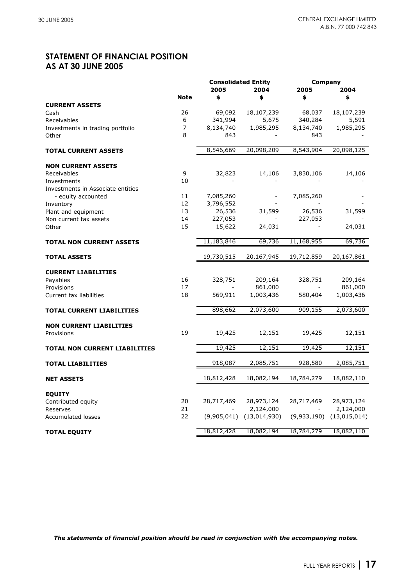## **STATEMENT OF FINANCIAL POSITION AS AT 30 JUNE 2005**

|                                   |             | <b>Consolidated Entity</b> |              | Company     |              |  |
|-----------------------------------|-------------|----------------------------|--------------|-------------|--------------|--|
|                                   |             | 2005                       | 2004         | 2005        | 2004         |  |
|                                   | <b>Note</b> | \$                         | \$           | \$          | \$           |  |
| <b>CURRENT ASSETS</b>             |             |                            |              |             |              |  |
| Cash                              | 26          | 69,092                     | 18,107,239   | 68,037      | 18,107,239   |  |
| Receivables                       | 6           | 341,994                    | 5,675        | 340,284     | 5,591        |  |
| Investments in trading portfolio  | 7           | 8,134,740                  | 1,985,295    | 8,134,740   | 1,985,295    |  |
| Other                             | 8           | 843                        |              | 843         |              |  |
|                                   |             |                            |              |             |              |  |
| <b>TOTAL CURRENT ASSETS</b>       |             | 8,546,669                  | 20,098,209   | 8,543,904   | 20,098,125   |  |
| <b>NON CURRENT ASSETS</b>         |             |                            |              |             |              |  |
| Receivables                       | 9           | 32,823                     | 14,106       | 3,830,106   | 14,106       |  |
| Investments                       | 10          |                            |              |             |              |  |
| Investments in Associate entities |             |                            |              |             |              |  |
| - equity accounted                | 11          | 7,085,260                  |              | 7,085,260   |              |  |
| Inventory                         | 12          | 3,796,552                  |              |             |              |  |
| Plant and equipment               | 13          | 26,536                     | 31,599       | 26,536      | 31,599       |  |
| Non current tax assets            | 14          | 227,053                    |              | 227,053     |              |  |
| Other                             | 15          | 15,622                     | 24,031       |             | 24,031       |  |
|                                   |             |                            |              |             |              |  |
| <b>TOTAL NON CURRENT ASSETS</b>   |             | 11,183,846                 | 69,736       | 11,168,955  | 69,736       |  |
| <b>TOTAL ASSETS</b>               |             | 19,730,515                 | 20,167,945   | 19,712,859  | 20,167,861   |  |
|                                   |             |                            |              |             |              |  |
| <b>CURRENT LIABILITIES</b>        |             |                            |              |             |              |  |
| Payables                          | 16          | 328,751                    | 209,164      | 328,751     | 209,164      |  |
| Provisions                        | 17          |                            | 861,000      |             | 861,000      |  |
| Current tax liabilities           | 18          | 569,911                    | 1,003,436    | 580,404     | 1,003,436    |  |
| <b>TOTAL CURRENT LIABILITIES</b>  |             | 898,662                    | 2,073,600    | 909,155     | 2,073,600    |  |
|                                   |             |                            |              |             |              |  |
| <b>NON CURRENT LIABILITIES</b>    |             |                            |              |             |              |  |
| Provisions                        | 19          | 19,425                     | 12,151       | 19,425      | 12,151       |  |
|                                   |             |                            |              |             |              |  |
| TOTAL NON CURRENT LIABILITIES     |             | 19,425                     | 12,151       | 19,425      | 12,151       |  |
| <b>TOTAL LIABILITIES</b>          |             | 918,087                    | 2,085,751    | 928,580     | 2,085,751    |  |
|                                   |             |                            |              |             |              |  |
| <b>NET ASSETS</b>                 |             | 18,812,428                 | 18,082,194   | 18,784,279  | 18,082,110   |  |
| <b>EQUITY</b>                     |             |                            |              |             |              |  |
| Contributed equity                | 20          | 28,717,469                 | 28,973,124   | 28,717,469  | 28,973,124   |  |
| Reserves                          | 21          |                            | 2,124,000    |             | 2,124,000    |  |
| <b>Accumulated losses</b>         | 22          | (9,905,041)                | (13,014,930) | (9,933,190) | (13,015,014) |  |
|                                   |             |                            |              |             |              |  |
| <b>TOTAL EQUITY</b>               |             | 18,812,428                 | 18,082,194   | 18,784,279  | 18,082,110   |  |

*The statements of financial position should be read in conjunction with the accompanying notes.*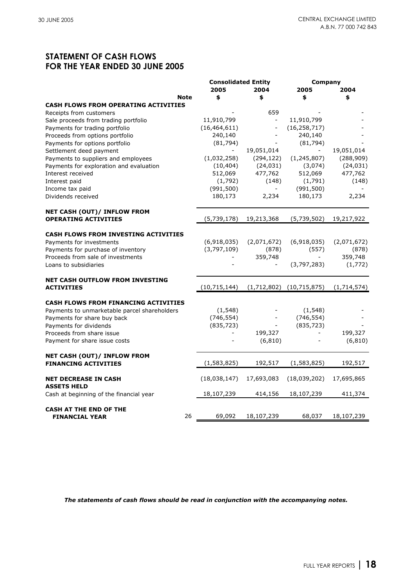## **STATEMENT OF CASH FLOWS FOR THE YEAR ENDED 30 JUNE 2005**

|                                                   | <b>Consolidated Entity</b> |                          | Company        |             |
|---------------------------------------------------|----------------------------|--------------------------|----------------|-------------|
|                                                   | 2005                       | 2004                     | 2005           | 2004        |
| <b>Note</b>                                       | \$                         | \$                       | \$             | \$          |
| <b>CASH FLOWS FROM OPERATING ACTIVITIES</b>       |                            |                          |                |             |
| Receipts from customers                           |                            | 659                      |                |             |
| Sale proceeds from trading portfolio              | 11,910,799                 | $\Box$                   | 11,910,799     |             |
| Payments for trading portfolio                    | (16, 464, 611)             |                          | (16, 258, 717) |             |
| Proceeds from options portfolio                   | 240,140                    |                          | 240,140        |             |
| Payments for options portfolio                    | (81, 794)                  |                          | (81, 794)      |             |
| Settlement deed payment                           |                            | 19,051,014               | $\blacksquare$ | 19,051,014  |
| Payments to suppliers and employees               | (1,032,258)                | (294, 122)               | (1, 245, 807)  | (288, 909)  |
| Payments for exploration and evaluation           | (10, 404)                  | (24, 031)                | (3,074)        | (24, 031)   |
| Interest received                                 | 512,069                    | 477,762                  | 512,069        | 477,762     |
| Interest paid                                     | (1,792)                    | (148)                    | (1,791)        | (148)       |
| Income tax paid                                   | (991, 500)                 | $\overline{\phantom{a}}$ | (991, 500)     |             |
| Dividends received                                | 180,173                    | 2,234                    | 180,173        | 2,234       |
| <b>NET CASH (OUT)/ INFLOW FROM</b>                |                            |                          |                |             |
| <b>OPERATING ACTIVITIES</b>                       | (5,739,178)                | 19,213,368               | (5,739,502)    | 19,217,922  |
| <b>CASH FLOWS FROM INVESTING ACTIVITIES</b>       |                            |                          |                |             |
| Payments for investments                          | (6,918,035)                | (2,071,672)              | (6,918,035)    | (2,071,672) |
| Payments for purchase of inventory                | (3,797,109)                | (878)                    | (557)          | (878)       |
| Proceeds from sale of investments                 |                            | 359,748                  |                | 359,748     |
| Loans to subsidiaries                             |                            |                          | (3,797,283)    | (1, 772)    |
| <b>NET CASH OUTFLOW FROM INVESTING</b>            |                            |                          |                |             |
| <b>ACTIVITIES</b>                                 | (10, 715, 144)             | (1,712,802)              | (10, 715, 875) | (1,714,574) |
| <b>CASH FLOWS FROM FINANCING ACTIVITIES</b>       |                            |                          |                |             |
| Payments to unmarketable parcel shareholders      | (1, 548)                   |                          | (1, 548)       |             |
| Payments for share buy back                       | (746, 554)                 |                          | (746, 554)     |             |
| Payments for dividends                            | (835, 723)                 |                          | (835, 723)     |             |
| Proceeds from share issue                         |                            | 199,327                  |                | 199,327     |
| Payment for share issue costs                     |                            | (6, 810)                 |                | (6, 810)    |
| NET CASH (OUT)/ INFLOW FROM                       |                            |                          |                |             |
| <b>FINANCING ACTIVITIES</b>                       | (1, 583, 825)              | 192,517                  | (1, 583, 825)  | 192,517     |
| <b>NET DECREASE IN CASH</b><br><b>ASSETS HELD</b> | (18,038,147)               | 17,693,083               | (18,039,202)   | 17,695,865  |
| Cash at beginning of the financial year           | 18,107,239                 | 414,156                  | 18,107,239     | 411,374     |
| <b>CASH AT THE END OF THE</b>                     |                            |                          |                |             |
| 26<br><b>FINANCIAL YEAR</b>                       | 69,092                     | 18,107,239               | 68,037         | 18,107,239  |

*The statements of cash flows should be read in conjunction with the accompanying notes.*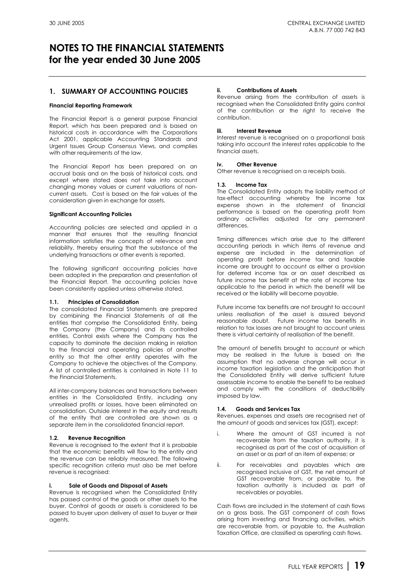### **1. SUMMARY OF ACCOUNTING POLICIES**

#### **Financial Reporting Framework**

The Financial Report is a general purpose Financial Report, which has been prepared and is based on historical costs in accordance with the Corporations Act 2001, applicable Accounting Standards and Urgent Issues Group Consensus Views, and complies with other requirements of the law.

The Financial Report has been prepared on an accrual basis and on the basis of historical costs, and except where stated does not take into account changing money values or current valuations of noncurrent assets. Cost is based on the fair values of the consideration given in exchange for assets.

#### **Significant Accounting Policies**

Accounting policies are selected and applied in a manner that ensures that the resulting financial information satisfies the concepts of relevance and reliability, thereby ensuring that the substance of the underlying transactions or other events is reported.

The following significant accounting policies have been adopted in the preparation and presentation of the Financial Report. The accounting policies have been consistently applied unless otherwise stated.

#### **1.1. Principles of Consolidation**

The consolidated Financial Statements are prepared by combining the Financial Statements of all the entities that comprise the Consolidated Entity, being the Company (the Company) and its controlled entities. Control exists where the Company has the capacity to dominate the decision making in relation to the financial and operating policies of another entity so that the other entity operates with the Company to achieve the objectives of the Company. A list of controlled entities is contained in Note 11 to the Financial Statements.

All inter-company balances and transactions between entities in the Consolidated Entity, including any unrealised profits or losses, have been eliminated on consolidation. Outside interest in the equity and results of the entity that are controlled are shown as a separate item in the consolidated financial report.

#### **1.2. Revenue Recognition**

Revenue is recognised to the extent that it is probable that the economic benefits will flow to the entity and the revenue can be reliably measured. The following specific recognition criteria must also be met before revenue is recognised:

#### **i. Sale of Goods and Disposal of Assets**

Revenue is recognised when the Consolidated Entity has passed control of the goods or other assets to the buyer. Control of goods or assets is considered to be passed to buyer upon delivery of asset to buyer or their agents.

#### **ii. Contributions of Assets**

Revenue arising from the contribution of assets is recognised when the Consolidated Entity gains control of the contribution or the right to receive the contribution.

#### **iii. Interest Revenue**

Interest revenue is recognised on a proportional basis taking into account the interest rates applicable to the financial assets.

#### **iv. Other Revenue**

Other revenue is recognised on a receipts basis.

#### **1.3. Income Tax**

The Consolidated Entity adopts the liability method of tax-effect accounting whereby the income tax expense shown in the statement of financial performance is based on the operating profit from ordinary activities adjusted for any permanent differences.

Timing differences which arise due to the different accounting periods in which items of revenue and expense are included in the determination of operating profit before income tax and taxable income are brought to account as either a provision for deferred income tax or an asset described as future income tax benefit at the rate of income tax applicable to the period in which the benefit will be received or the liability will become payable.

Future income tax benefits are not brought to account unless realisation of the asset is assured beyond reasonable doubt. Future income tax benefits in relation to tax losses are not brought to account unless there is virtual certainty of realisation of the benefit.

The amount of benefits brought to account or which may be realised in the future is based on the assumption that no adverse change will occur in income taxation legislation and the anticipation that the Consolidated Entity will derive sufficient future assessable income to enable the benefit to be realised and comply with the conditions of deductibility imposed by law.

#### **1.4. Goods and Services Tax**

Revenues, expenses and assets are recognised net of the amount of goods and services tax (GST), except:

- i. Where the amount of GST incurred is not recoverable from the taxation authority, it is recognised as part of the cost of acquisition of an asset or as part of an item of expense; or
- ii. For receivables and payables which are recognised inclusive of GST, the net amount of GST recoverable from, or payable to, the taxation authority is included as part of receivables or payables.

Cash flows are included in the statement of cash flows on a gross basis. The GST component of cash flows arising from investing and financing activities, which are recoverable from, or payable to, the Australian Taxation Office, are classified as operating cash flows.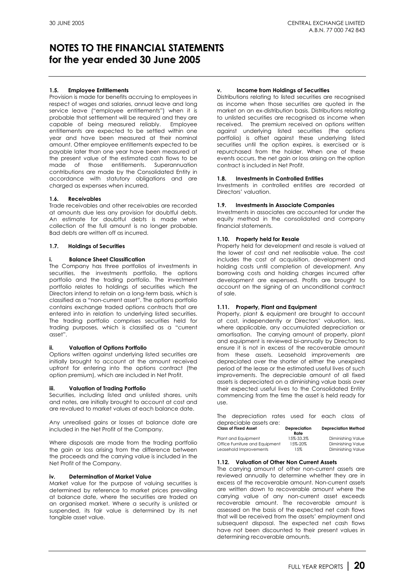#### **1.5. Employee Entitlements**

Provision is made for benefits accruing to employees in respect of wages and salaries, annual leave and long service leave ("employee entitlements") when it is probable that settlement will be required and they are capable of being measured reliably. Employee entitlements are expected to be settled within one year and have been measured at their nominal amount. Other employee entitlements expected to be payable later than one year have been measured at the present value of the estimated cash flows to be made of those entitlements. Superannuation contributions are made by the Consolidated Entity in accordance with statutory obligations and are charged as expenses when incurred.

#### **1.6. Receivables**

Trade receivables and other receivables are recorded at amounts due less any provision for doubtful debts. An estimate for doubtful debts is made when collection of the full amount is no longer probable. Bad debts are written off as incurred.

#### **1.7. Holdings of Securities**

#### **i. Balance Sheet Classification**

The Company has three portfolios of investments in securities, the investments portfolio, the options portfolio and the trading portfolio. The investment portfolio relates to holdings of securities which the Directors intend to retain on a long-term basis, which is classified as a "non-current asset". The options portfolio contains exchange traded options contracts that are entered into in relation to underlying listed securities. The trading portfolio comprises securities held for trading purposes, which is classified as a "current asset".

#### **ii. Valuation of Options Portfolio**

Options written against underlying listed securities are initially brought to account at the amount received upfront for entering into the options contract (the option premium), which are included in Net Profit.

#### **iii. Valuation of Trading Portfolio**

Securities, including listed and unlisted shares, units and notes, are initially brought to account at cost and are revalued to market values at each balance date.

Any unrealised gains or losses at balance date are included in the Net Profit of the Company.

Where disposals are made from the trading portfolio the gain or loss arising from the difference between the proceeds and the carrying value is included in the Net Profit of the Company.

#### **iv. Determination of Market Value**

Market value for the purpose of valuing securities is determined by reference to market prices prevailing at balance date, where the securities are traded on an organised market. Where a security is unlisted or suspended, its fair value is determined by its net tangible asset value.

#### **v. Income from Holdings of Securities**

Distributions relating to listed securities are recognised as income when those securities are quoted in the market on an ex-distribution basis. Distributions relating to unlisted securities are recognised as income when received. The premium received on options written against underlying listed securities (the options portfolio) is offset against these underlying listed securities until the option expires, is exercised or is repurchased from the holder. When one of these events occurs, the net gain or loss arising on the option contract is included in Net Profit.

#### **1.8. Investments in Controlled Entities**

Investments in controlled entities are recorded at Directors' valuation.

#### **1.9. Investments in Associate Companies**

Investments in associates are accounted for under the equity method in the consolidated and company financial statements.

#### **1.10. Property held for Resale**

Property held for development and resale is valued at the lower of cost and net realisable value. The cost includes the cost of acquisition, development and holding costs until completion of development. Any borrowing costs and holding charges incurred after development are expensed. Profits are brought to account on the signing of an unconditional contract of sale.

#### **1.11. Property, Plant and Equipment**

Property, plant & equipment are brought to account at cost, independently or Directors' valuation, less, where applicable, any accumulated depreciation or amortisation. The carrying amount of property, plant and equipment is reviewed bi-annually by Directors to ensure it is not in excess of the recoverable amount from these assets. Leasehold improvements are depreciated over the shorter of either the unexpired period of the lease or the estimated useful lives of such improvements. The depreciable amount of all fixed assets is depreciated on a diminishing value basis over their expected useful lives to the Consolidated Entity commencing from the time the asset is held ready for use.

The depreciation rates used for each class of depreciable assets are:

| <b>Class of Fixed Asset</b>    | <b>Depreciation</b><br>Rate | <b>Depreciation Method</b> |
|--------------------------------|-----------------------------|----------------------------|
| Plant and Eauipment            | 15%-33.3%                   | Diminishing Value          |
| Office Furniture and Equipment | 15%-20%                     | Diminishing Value          |
| Leasehold Improvements         | 15%                         | Diminishing Value          |

#### **1.12. Valuation of Other Non Current Assets**

The carrying amount of other non-current assets are reviewed annually to determine whether they are in excess of the recoverable amount. Non-current assets are written down to recoverable amount where the carrying value of any non-current asset exceeds recoverable amount. The recoverable amount is assessed on the basis of the expected net cash flows that will be received from the assets' employment and subsequent disposal. The expected net cash flows have not been discounted to their present values in determining recoverable amounts.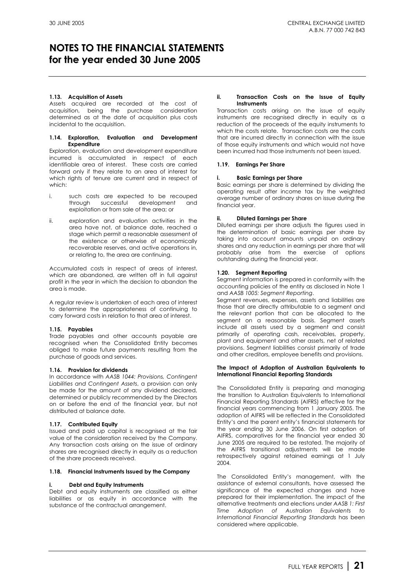#### **1.13. Acquisition of Assets**

Assets acquired are recorded at the cost of acquisition, being the purchase consideration determined as at the date of acquisition plus costs incidental to the acquisition.

#### **1.14. Exploration, Evaluation and Development Expenditure**

Exploration, evaluation and development expenditure incurred is accumulated in respect of each identifiable area of interest. These costs are carried forward only if they relate to an area of interest for which rights of tenure are current and in respect of which:

- i. such costs are expected to be recouped through successful development and exploitation or from sale of the area; or
- ii. exploration and evaluation activities in the area have not, at balance date, reached a stage which permit a reasonable assessment of the existence or otherwise of economically recoverable reserves, and active operations in, or relating to, the area are continuing.

Accumulated costs in respect of areas of interest, which are abandoned, are written off in full against profit in the year in which the decision to abandon the area is made.

A regular review is undertaken of each area of interest to determine the appropriateness of continuing to carry forward costs in relation to that area of interest.

#### **1.15. Payables**

Trade payables and other accounts payable are recognised when the Consolidated Entity becomes obliged to make future payments resulting from the purchase of goods and services.

#### **1.16. Provision for dividends**

In accordance with *AASB 1044: Provisions, Contingent Liabilities and Contingent Assets*, a provision can only be made for the amount of any dividend declared, determined or publicly recommended by the Directors on or before the end of the financial year, but not distributed at balance date.

#### **1.17. Contributed Equity**

Issued and paid up capital is recognised at the fair value of the consideration received by the Company. Any transaction costs arising on the issue of ordinary shares are recognised directly in equity as a reduction of the share proceeds received.

#### **1.18. Financial Instruments Issued by the Company**

#### **i. Debt and Equity Instruments**

Debt and equity instruments are classified as either liabilities or as equity in accordance with the substance of the contractual arrangement.

#### **ii. Transaction Costs on the Issue of Equity Instruments**

Transaction costs arising on the issue of equity instruments are recognised directly in equity as a reduction of the proceeds of the equity instruments to which the costs relate. Transaction costs are the costs that are incurred directly in connection with the issue of those equity instruments and which would not have been incurred had those instruments not been issued.

#### **1.19. Earnings Per Share**

#### **i. Basic Earnings per Share**

Basic earnings per share is determined by dividing the operating result after income tax by the weighted average number of ordinary shares on issue during the financial year.

#### **ii. Diluted Earnings per Share**

Diluted earnings per share adjusts the figures used in the determination of basic earnings per share by taking into account amounts unpaid on ordinary shares and any reduction in earnings per share that will probably arise from the exercise of options outstanding during the financial year.

#### **1.20. Segment Reporting**

Segment information is prepared in conformity with the accounting policies of the entity as disclosed in Note 1 and *AASB 1005: Segment Reporting*.

Segment revenues, expenses, assets and liabilities are those that are directly attributable to a segment and the relevant portion that can be allocated to the segment on a reasonable basis. Segment assets include all assets used by a segment and consist primarily of operating cash, receivables, property, plant and equipment and other assets, net of related provisions. Segment liabilities consist primarily of trade and other creditors, employee benefits and provisions.

#### **The Impact of Adoption of Australian Equivalents to International Financial Reporting Standards**

The Consolidated Entity is preparing and managing the transition to Australian Equivalents to International Financial Reporting Standards (AIFRS) effective for the financial years commencing from 1 January 2005. The adoption of AIFRS will be reflected in the Consolidated Entity's and the parent entity's financial statements for the year ending 30 June 2006. On first adoption of AIFRS, comparatives for the financial year ended 30 June 2005 are required to be restated. The majority of the AIFRS transitional adjustments will be made retrospectively against retained earnings at 1 July 2004.

The Consolidated Entity's management, with the assistance of external consultants, have assessed the significance of the expected changes and have prepared for their implementation. The impact of the alternative treatments and elections under *AASB 1: First Time Adoption of Australian Equivalents to International Financial Reporting Standards* has been considered where applicable.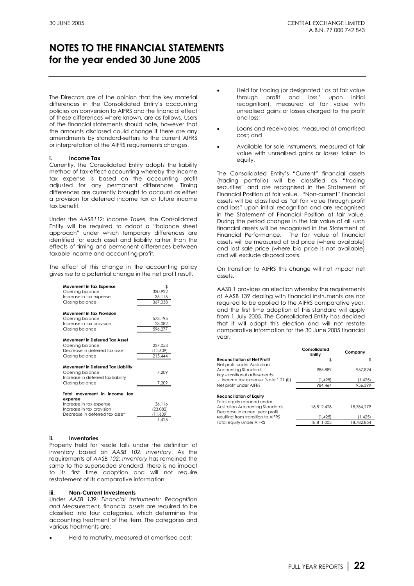The Directors are of the opinion that the key material differences in the Consolidated Entity's accounting policies on conversion to AIFRS and the financial effect of these differences where known, are as follows. Users of the financial statements should note, however that the amounts disclosed could change if there are any amendments by standard-setters to the current AIFRS or interpretation of the AIFRS requirements changes.

#### **i. Income Tax**

Currently, the Consolidated Entity adopts the liability method of tax-effect accounting whereby the income tax expense is based on the accounting profit adjusted for any permanent differences. Timing differences are currently brought to account as either a provision for deferred income tax or future income tax benefit.

Under the *AASB112: Income Taxes*, the Consolidated Entity will be required to adopt a "balance sheet approach" under which temporary differences are identified for each asset and liability rather than the effects of timing and permanent differences between taxable income and accounting profit.

The effect of this change in the accounting policy gives rise to a potential change in the net profit result.

| <b>Movement in Tax Expense</b><br>Opening balance<br>Increase in tax expense | \$<br>330,922<br>36,116 |
|------------------------------------------------------------------------------|-------------------------|
| Closing balance                                                              | 367,038                 |
| Movement in Tax Provision                                                    |                         |
| Opening balance                                                              | 573,195                 |
| Increase in tax provision                                                    | 23,082                  |
| Closing balance                                                              | 596,277                 |
| <b>Movement in Deferred Tax Asset</b>                                        |                         |
| Opening balance                                                              | 227,053                 |
| Decrease in deferred tax asset                                               | (11,609)                |
| Closing balance                                                              | 215,444                 |
| Movement in Deferred Tax Liability                                           |                         |
| Opening balance                                                              | 7,209                   |
| Increase in deferred tax liability                                           |                         |
| Closing balance                                                              | 7,209                   |
| Total movement in income<br>tax<br>expense                                   |                         |
| Increase in tax expense                                                      | 36,116                  |
| Increase in tax provision                                                    | (23,082)                |
| Decrease in deferred tax asset                                               | (11,609)                |
|                                                                              | 1,425                   |

#### **ii. Inventories**

Property held for resale falls under the definition of inventory based on *AASB 102: Inventory*. As the requirements of *AASB 102: Inventory* has remained the same to the superseded standard, there is no impact to its first time adoption and will not require restatement of its comparative information.

#### **iii. Non-Current Investments**

Under *AASB 139: Financial Instruments: Recognition and Measurement,* financial assets are required to be classified into four categories, which determines the accounting treatment of the item. The categories and various treatments are:

• Held to maturity, measured at amortised cost;

- Held for trading (or designated "as at fair value through profit and loss" upon initial recognition), measured at fair value with unrealised gains or losses charged to the profit and loss;
- Loans and receivables, measured at amortised cost; and
- Available for sale instruments, measured at fair value with unrealised gains or losses taken to equity.

The Consolidated Entity's "Current" financial assets (trading portfolio) will be classified as "trading securities" and are recognised in the Statement of Financial Position at fair value. "Non-current" financial assets will be classified as "at fair value through profit and loss" upon initial recognition and are recognised in the Statement of Financial Position at fair value. During the period changes in the fair value of all such financial assets will be recognised in the Statement of Financial Performance. The fair value of financial assets will be measured at bid price (where available) and last sale price (where bid price is not available) and will exclude disposal costs.

On transition to AIFRS this change will not impact net assets.

AASB 1 provides an election whereby the requirements of AASB 139 dealing with financial instruments are not required to be applied to the AIFRS comparative year, and the first time adoption of this standard will apply from 1 July 2005. The Consolidated Entity has decided that it will adopt this election and will not restate comparative information for the 30 June 2005 financial year.

|                                                                                                                               | Consolidated<br>Entity | Company    |
|-------------------------------------------------------------------------------------------------------------------------------|------------------------|------------|
| Reconciliation of Net Profit<br>Net profit under Australian                                                                   | \$                     | \$         |
| Accounting Standards<br>key transitional adjustments:                                                                         | 985.889                | 957.824    |
| - income tax expense (Note 1.21 (i))                                                                                          | (1, 425)               | (1, 425)   |
| Net profit under AIFRS                                                                                                        | 984.464                | 956.399    |
| Reconciliation of Equity<br>Total equity reported under<br>Australian Accounting Standards<br>Decrease in current year profit | 18.812.428             | 18,784,279 |
| resulting from transition to AIFRS                                                                                            | (1.425)                | (1.425)    |
| Total equity under AIFRS                                                                                                      | 18.811.003             | 18.782.854 |
|                                                                                                                               |                        |            |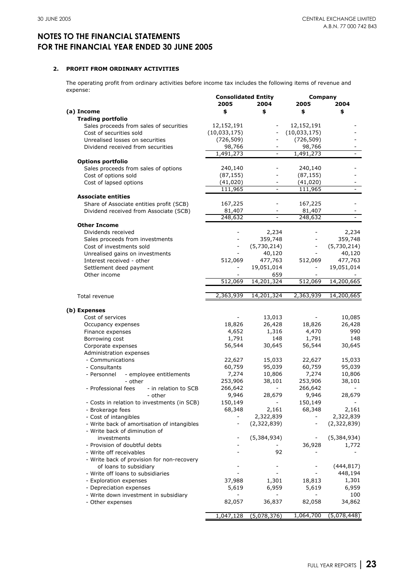#### **2. PROFIT FROM ORDINARY ACTIVITIES**

The operating profit from ordinary activities before income tax includes the following items of revenue and expense:

| ---------                                   | <b>Consolidated Entity</b> |                          | Company                  |             |
|---------------------------------------------|----------------------------|--------------------------|--------------------------|-------------|
|                                             | 2005                       | 2004                     | 2005                     | 2004        |
| (a) Income                                  | \$                         | \$                       | \$                       | \$          |
| <b>Trading portfolio</b>                    |                            |                          |                          |             |
| Sales proceeds from sales of securities     | 12,152,191                 |                          | 12,152,191               |             |
| Cost of securities sold                     | (10,033,175)               |                          | (10,033,175)             |             |
| Unrealised losses on securities             | (726, 509)                 | $\overline{\phantom{0}}$ | (726, 509)               |             |
| Dividend received from securities           | 98,766                     |                          | 98,766                   |             |
|                                             | 1,491,273                  |                          | 1,491,273                |             |
| <b>Options portfolio</b>                    |                            |                          |                          |             |
| Sales proceeds from sales of options        | 240,140                    |                          | 240,140                  |             |
| Cost of options sold                        | (87, 155)                  |                          | (87, 155)                |             |
| Cost of lapsed options                      | (41, 020)                  |                          | (41,020)                 |             |
|                                             | 111,965                    |                          | 111,965                  |             |
| <b>Associate entities</b>                   |                            |                          |                          |             |
| Share of Associate entities profit (SCB)    | 167,225                    |                          | 167,225                  |             |
| Dividend received from Associate (SCB)      | 81,407                     | $\qquad \qquad -$        | 81,407                   |             |
|                                             | 248,632                    |                          | 248,632                  |             |
| <b>Other Income</b>                         |                            |                          |                          |             |
| Dividends received                          |                            | 2,234                    |                          | 2,234       |
| Sales proceeds from investments             |                            | 359,748                  |                          | 359,748     |
| Cost of investments sold                    |                            | (5,730,214)              |                          | (5,730,214) |
| Unrealised gains on investments             |                            | 40,120                   |                          | 40,120      |
| Interest received - other                   | 512,069                    | 477,763                  | 512,069                  | 477,763     |
| Settlement deed payment                     |                            | 19,051,014               | $\overline{\phantom{a}}$ | 19,051,014  |
| Other income                                |                            | 659                      |                          |             |
|                                             | 512,069                    | 14,201,324               | 512,069                  | 14,200,665  |
|                                             |                            |                          |                          |             |
| Total revenue                               | 2,363,939                  | 14,201,324               | 2,363,939                | 14,200,665  |
|                                             |                            |                          |                          |             |
| (b) Expenses                                |                            |                          |                          |             |
| Cost of services                            |                            | 13,013                   |                          | 10,085      |
| Occupancy expenses                          | 18,826                     | 26,428                   | 18,826                   | 26,428      |
| Finance expenses                            | 4,652                      | 1,316                    | 4,470                    | 990         |
| Borrowing cost                              | 1,791                      | 148                      | 1,791                    | 148         |
| Corporate expenses                          | 56,544                     | 30,645                   | 56,544                   | 30,645      |
| Administration expenses                     |                            |                          |                          |             |
| - Communications                            | 22,627                     | 15,033                   | 22,627                   | 15,033      |
| - Consultants                               | 60,759                     | 95,039                   | 60,759                   | 95,039      |
| - employee entitlements<br>- Personnel      | 7,274                      | 10,806                   | 7,274                    | 10,806      |
| - other                                     | 253,906                    | 38,101                   | 253,906                  | 38,101      |
| - Professional fees<br>- in relation to SCB | 266,642                    |                          | 266,642                  |             |
| - other                                     | 9,946                      | 28,679                   | 9,946                    | 28,679      |
| - Costs in relation to investments (in SCB) | 150,149                    |                          | 150,149                  |             |
| - Brokerage fees                            | 68,348                     | 2,161                    | 68,348                   | 2,161       |
| - Cost of intangibles                       |                            | 2,322,839                |                          | 2,322,839   |
| - Write back of amortisation of intangibles |                            | (2,322,839)              | $\overline{\phantom{a}}$ | (2,322,839) |
| - Write back of diminution of               |                            |                          |                          |             |
|                                             |                            |                          |                          |             |
| investments                                 |                            | (5,384,934)              |                          | (5,384,934) |
| - Provision of doubtful debts               |                            |                          | 36,928                   | 1,772       |
| - Write off receivables                     |                            | 92                       |                          |             |
| - Write back of provision for non-recovery  |                            |                          |                          |             |
| of loans to subsidiary                      |                            |                          |                          | (444, 817)  |
| - Write off loans to subsidiaries           |                            |                          |                          | 448,194     |
| - Exploration expenses                      | 37,988                     | 1,301                    | 18,813                   | 1,301       |
| - Depreciation expenses                     | 5,619                      | 6,959                    | 5,619                    | 6,959       |
| - Write down investment in subsidiary       |                            |                          |                          | 100         |
| - Other expenses                            | 82,057                     | 36,837                   | 82,058                   | 34,862      |
|                                             |                            |                          |                          |             |
|                                             | 1,047,128                  | (5,078,376)              | 1,064,700                | (5,078,448) |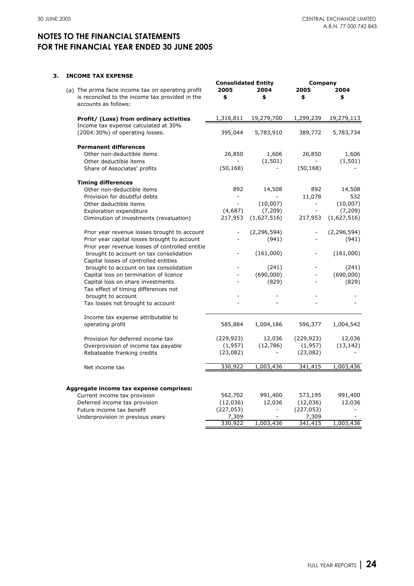### **3. INCOME TAX EXPENSE**

| LUME TAA EAFENJE<br>(a) The prima facie income tax on operating profit<br>is reconciled to the income tax provided in the | <b>Consolidated Entity</b><br>2005<br>\$ | 2004<br>\$    | Company<br>2005<br>\$    | 2004<br>\$    |
|---------------------------------------------------------------------------------------------------------------------------|------------------------------------------|---------------|--------------------------|---------------|
| accounts as follows:                                                                                                      |                                          |               |                          |               |
| Profit/ (Loss) from ordinary activities                                                                                   | 1,316,811                                | 19,279,700    | 1,299,239                | 19,279,113    |
| Income tax expense calculated at 30%<br>(2004:30%) of operating losses.                                                   | 395,044                                  | 5,783,910     | 389,772                  | 5,783,734     |
| <b>Permanent differences</b>                                                                                              |                                          |               |                          |               |
| Other non-deductible items                                                                                                | 26,850                                   | 1,606         | 26,850                   | 1,606         |
| Other deductible items                                                                                                    |                                          | (1, 501)      |                          | (1, 501)      |
| Share of Associates' profits                                                                                              | (50, 168)                                |               | (50, 168)                |               |
| <b>Timing differences</b>                                                                                                 |                                          |               |                          |               |
| Other non-deductible items                                                                                                | 892                                      | 14,508        | 892                      | 14,508        |
| Provision for doubtful debts                                                                                              |                                          |               | 11,078                   | 532           |
| Other deductible items                                                                                                    |                                          | (10,007)      | $\overline{\phantom{a}}$ | (10,007)      |
| <b>Exploration expenditure</b>                                                                                            | (4,687)                                  | (7, 209)      | $\overline{a}$           | (7, 209)      |
| Diminution of investments (revaluation)                                                                                   | 217,953                                  | (1,627,516)   | 217,953                  | (1,627,516)   |
| Prior year revenue losses brought to account                                                                              |                                          | (2, 296, 594) |                          | (2, 296, 594) |
| Prior year capital losses brought to account<br>Prior year revenue losses of controlled entitie                           |                                          | (941)         |                          | (941)         |
| brought to account on tax consolidation<br>Capital losses of controlled entities                                          |                                          | (161,000)     |                          | (161,000)     |
| brought to account on tax consolidation                                                                                   |                                          | (241)         |                          | (241)         |
| Capital loss on termination of licence                                                                                    |                                          | (690,000)     |                          | (690,000)     |
| Capital loss on share investments<br>Tax effect of timing differences not                                                 |                                          | (829)         |                          | (829)         |
| brought to account                                                                                                        |                                          |               |                          |               |
| Tax losses not brought to account                                                                                         |                                          |               |                          |               |
| Income tax expense attributable to<br>operating profit                                                                    | 585,884                                  | 1,004,186     | 596,377                  | 1,004,542     |
| Provision for deferred income tax                                                                                         | (229, 923)                               | 12,036        | (229, 923)               | 12,036        |
| Overprovision of income tax payable                                                                                       | (1,957)                                  | (12,786)      | (1,957)                  | (13, 142)     |
| Rebateable franking credits                                                                                               | (23,082)                                 |               | (23,082)                 |               |
| Net income tax                                                                                                            | 330,922                                  | 1,003,436     | 341,415                  | 1,003,436     |
|                                                                                                                           |                                          |               |                          |               |
| Aggregate income tax expense comprises:                                                                                   |                                          |               |                          |               |
| Current income tax provision                                                                                              | 562,702                                  | 991,400       | 573,195                  | 991,400       |
| Deferred income tax provision                                                                                             | (12,036)                                 | 12,036        | (12,036)                 | 12,036        |
| Future income tax benefit                                                                                                 | (227, 053)                               |               | (227, 053)               |               |
| Underprovision in previous years                                                                                          | 7,309                                    |               | 7,309                    |               |
|                                                                                                                           | 330,922                                  | 1,003,436     | 341,415                  | 1,003,436     |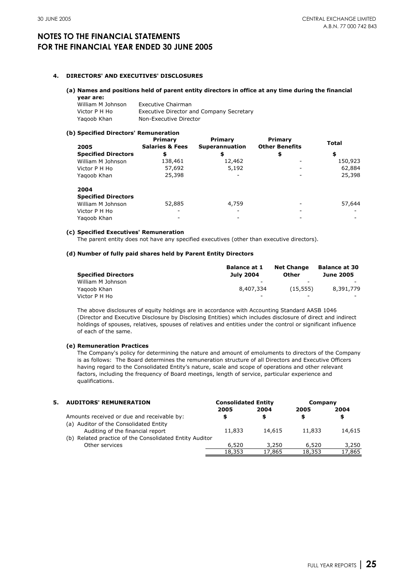#### **4. DIRECTORS' AND EXECUTIVES' DISCLOSURES**

#### **(a) Names and positions held of parent entity directors in office at any time during the financial**

| year are:         |                                                 |
|-------------------|-------------------------------------------------|
| William M Johnson | Executive Chairman                              |
| Victor P H Ho     | <b>Executive Director and Company Secretary</b> |
| Yagoob Khan       | Non-Executive Director                          |

#### **(b) Specified Directors' Remuneration**

| 2005                       | Primary<br><b>Salaries &amp; Fees</b> | Primary<br>Superannuation | Primary<br><b>Other Benefits</b> | <b>Total</b> |
|----------------------------|---------------------------------------|---------------------------|----------------------------------|--------------|
| <b>Specified Directors</b> | \$                                    | \$                        | \$                               | \$           |
| William M Johnson          | 138,461                               | 12,462                    |                                  | 150,923      |
| Victor P H Ho              | 57,692                                | 5,192                     |                                  | 62,884       |
| Yagoob Khan                | 25,398                                |                           |                                  | 25,398       |
| 2004                       |                                       |                           |                                  |              |
| <b>Specified Directors</b> |                                       |                           |                                  |              |
| William M Johnson          | 52,885                                | 4,759                     |                                  | 57,644       |
| Victor P H Ho              |                                       |                           |                                  |              |
| Yagoob Khan                |                                       |                           |                                  |              |

#### **(c) Specified Executives' Remuneration**

The parent entity does not have any specified executives (other than executive directors).

#### **(d) Number of fully paid shares held by Parent Entity Directors**

|                            | <b>Balance at 1</b>      | <b>Net Change</b>        | <b>Balance at 30</b>     |
|----------------------------|--------------------------|--------------------------|--------------------------|
| <b>Specified Directors</b> | <b>July 2004</b>         | Other                    | <b>June 2005</b>         |
| William M Johnson          | $\overline{\phantom{a}}$ | $\overline{\phantom{0}}$ | $\overline{\phantom{0}}$ |
| Yagoob Khan                | 8,407,334                | (15.555)                 | 8,391,779                |
| Victor P H Ho              | $\overline{\phantom{a}}$ | -                        | $\overline{\phantom{0}}$ |

The above disclosures of equity holdings are in accordance with Accounting Standard AASB 1046 (Director and Executive Disclosure by Disclosing Entities) which includes disclosure of direct and indirect holdings of spouses, relatives, spouses of relatives and entities under the control or significant influence of each of the same.

#### **(e) Remuneration Practices**

The Company's policy for determining the nature and amount of emoluments to directors of the Company is as follows: The Board determines the remuneration structure of all Directors and Executive Officers having regard to the Consolidated Entity's nature, scale and scope of operations and other relevant factors, including the frequency of Board meetings, length of service, particular experience and qualifications.

| 5. AUDITORS' REMUNERATION                                                  | <b>Consolidated Entity</b> |        | Company |        |
|----------------------------------------------------------------------------|----------------------------|--------|---------|--------|
|                                                                            | 2005                       | 2004   | 2005    | 2004   |
| Amounts received or due and receivable by:                                 | \$                         |        | S       | \$     |
| (a) Auditor of the Consolidated Entity<br>Auditing of the financial report | 11,833                     | 14,615 | 11,833  | 14,615 |
| (b) Related practice of the Consolidated Entity Auditor<br>Other services  | 6,520                      | 3,250  | 6,520   | 3,250  |
|                                                                            | 18,353                     | 17,865 | 18,353  | 17,865 |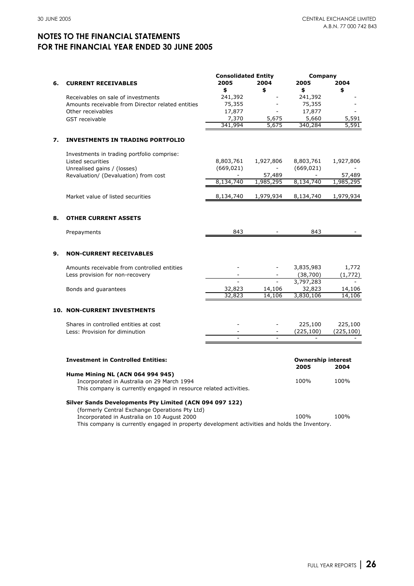|    |                                                                                       | <b>Consolidated Entity</b> |                | Company                   |            |
|----|---------------------------------------------------------------------------------------|----------------------------|----------------|---------------------------|------------|
| 6. | <b>CURRENT RECEIVABLES</b>                                                            | 2005                       | 2004           | 2005                      | 2004       |
|    |                                                                                       | \$                         | \$             | \$                        | \$         |
|    | Receivables on sale of investments                                                    | 241,392                    |                | 241,392                   |            |
|    | Amounts receivable from Director related entities                                     | 75,355                     |                | 75,355                    |            |
|    | Other receivables                                                                     | 17,877                     |                | 17,877                    |            |
|    | <b>GST</b> receivable                                                                 | 7,370                      | 5,675          | 5,660                     | 5,591      |
|    |                                                                                       | 341,994                    | 5,675          | 340,284                   | 5,591      |
| 7. | <b>INVESTMENTS IN TRADING PORTFOLIO</b>                                               |                            |                |                           |            |
|    | Investments in trading portfolio comprise:                                            |                            |                |                           |            |
|    | Listed securities                                                                     | 8,803,761                  | 1,927,806      | 8,803,761                 | 1,927,806  |
|    | Unrealised gains / (losses)                                                           | (669, 021)                 |                | (669, 021)                |            |
|    | Revaluation/ (Devaluation) from cost                                                  |                            | 57,489         |                           | 57,489     |
|    |                                                                                       | 8,134,740                  | 1,985,295      | 8,134,740                 | 1,985,295  |
|    | Market value of listed securities                                                     | 8,134,740                  | 1,979,934      | 8,134,740                 | 1,979,934  |
|    |                                                                                       |                            |                |                           |            |
| 8. | <b>OTHER CURRENT ASSETS</b>                                                           |                            |                |                           |            |
|    | Prepayments                                                                           | 843                        |                | 843                       |            |
| 9. | <b>NON-CURRENT RECEIVABLES</b>                                                        |                            |                |                           |            |
|    | Amounts receivable from controlled entities                                           |                            |                | 3,835,983                 | 1,772      |
|    | Less provision for non-recovery                                                       |                            |                | (38,700)                  | (1, 772)   |
|    |                                                                                       |                            |                | 3,797,283                 |            |
|    | Bonds and guarantees                                                                  | 32,823                     | 14,106         | 32,823                    | 14,106     |
|    |                                                                                       | 32,823                     | 14,106         | 3,830,106                 | 14,106     |
|    | <b>10. NON-CURRENT INVESTMENTS</b>                                                    |                            |                |                           |            |
|    |                                                                                       |                            |                | 225,100                   | 225,100    |
|    | Shares in controlled entities at cost<br>Less: Provision for diminution               |                            |                | (225, 100)                | (225, 100) |
|    |                                                                                       | $\overline{a}$             | $\overline{a}$ |                           |            |
|    |                                                                                       |                            |                |                           |            |
|    | <b>Investment in Controlled Entities:</b>                                             |                            |                | <b>Ownership interest</b> |            |
|    |                                                                                       |                            |                | 2005                      | 2004       |
|    | <b>Hume Mining NL (ACN 064 994 945)</b><br>Incorporated in Australia on 29 March 1994 |                            |                | 100%                      | 100%       |
|    | This company is currently engaged in resource related activities.                     |                            |                |                           |            |
|    | Silver Sands Developments Pty Limited (ACN 094 097 122)                               |                            |                |                           |            |
|    | (formerly Central Exchange Operations Pty Ltd)                                        |                            |                |                           |            |
|    | Incorporated in Australia on 10 August 2000                                           |                            |                | 100%                      | 100%       |

This company is currently engaged in property development activities and holds the Inventory.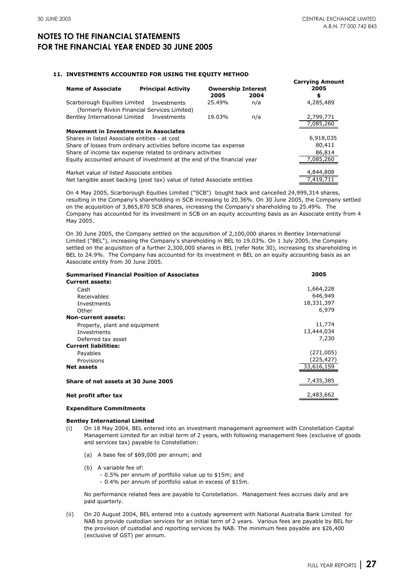#### **11. INVESTMENTS ACCOUNTED FOR USING THE EQUITY METHOD**

| <b>Name of Associate</b>                                                     | <b>Principal Activity</b> | <b>Ownership Interest</b> |      | <b>Carrying Amount</b><br>2005 |
|------------------------------------------------------------------------------|---------------------------|---------------------------|------|--------------------------------|
|                                                                              |                           | 2005                      | 2004 | \$                             |
| Scarborough Equities Limited<br>(formerly Rivkin Financial Services Limited) | Investments               | 25.49%                    | n/a  | 4,285,489                      |
| Bentley International Limited                                                | Investments               | 19.03%                    | n/a  | 2,799,771<br>7,085,260         |
| <b>Movement in Investments in Associates</b>                                 |                           |                           |      |                                |
| Shares in listed Associate entities - at cost                                |                           |                           |      | 6,918,035                      |
| Share of losses from ordinary activities before income tax expense           |                           |                           |      | 80,411                         |
| Share of income tax expense related to ordinary activities                   |                           |                           |      | 86,814                         |
| Equity accounted amount of investment at the end of the financial year       |                           |                           |      | 7,085,260                      |
| Market value of listed Associate entities                                    |                           |                           |      | 4,844,808                      |
| Net tangible asset backing (post tax) value of listed Associate entities     |                           |                           |      | 7.419.711                      |

On 4 May 2005, Scarborough Equities Limited ("SCB") bought back and cancelled 24,999,314 shares, resulting in the Company's shareholding in SCB increasing to 20.36%. On 30 June 2005, the Company settled on the acquisition of 3,865,870 SCB shares, increasing the Company's shareholding to 25.49%. The Company has accounted for its investment in SCB on an equity accounting basis as an Associate entity from 4 May 2005.

On 30 June 2005, the Company settled on the acquisition of 2,100,000 shares in Bentley International Limited ("BEL"), increasing the Company's shareholding in BEL to 19.03%. On 1 July 2005, the Company settled on the acquisition of a further 2,300,000 shares in BEL (refer Note 30), increasing its shareholding in BEL to 24.9%. The Company has accounted for its investment in BEL on an equity accounting basis as an Associate entity from 30 June 2005.

| <b>Summarised Financial Position of Associates</b> | 2005       |
|----------------------------------------------------|------------|
| <b>Current assets:</b>                             |            |
| Cash                                               | 1,664,228  |
| Receivables                                        | 646,949    |
| Investments                                        | 18,331,397 |
| Other                                              | 6,979      |
| Non-current assets:                                |            |
| Property, plant and equipment                      | 11,774     |
| Investments                                        | 13,444,034 |
| Deferred tax asset                                 | 7,230      |
| <b>Current liabilities:</b>                        |            |
| Payables                                           | (271,005)  |
| Provisions                                         | (225,427)  |
| <b>Net assets</b>                                  | 33,616,159 |
| Share of net assets at 30 June 2005                | 7,435,385  |
| Net profit after tax                               | 2,483,662  |

#### **Expenditure Commitments**

#### **Bentley International Limited**

- (i) On 18 May 2004, BEL entered into an investment management agreement with Constellation Capital Management Limited for an initial term of 2 years, with following management fees (exclusive of goods and services tax) payable to Constellation:
	- (a) A base fee of \$69,000 per annum; and
	- (b) A variable fee of:
		- 0.5% per annum of portfolio value up to \$15m; and
		- 0.4% per annum of portfolio value in excess of \$15m.

No performance related fees are payable to Constellation. Management fees accrues daily and are paid quarterly.

(ii) On 20 August 2004, BEL entered into a custody agreement with National Australia Bank Limited for NAB to provide custodian services for an initial term of 2 years. Various fees are payable by BEL for the provision of custodial and reporting services by NAB. The minimum fees payable are \$26,400 (exclusive of GST) per annum.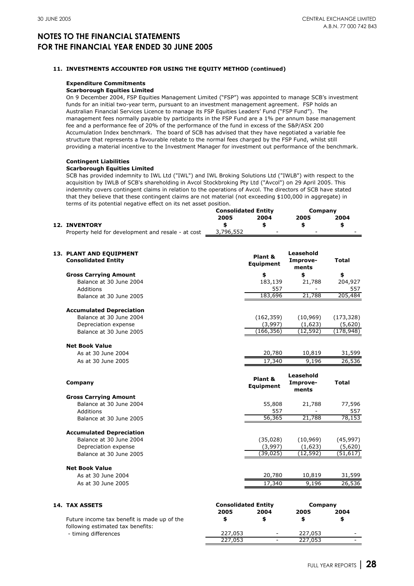### **11. INVESTMENTS ACCOUNTED FOR USING THE EQUITY METHOD (continued)**

#### **Expenditure Commitments**

#### **Scarborough Equities Limited**

On 9 December 2004, FSP Equities Management Limited ("FSP") was appointed to manage SCB's investment funds for an initial two-year term, pursuant to an investment management agreement. FSP holds an Australian Financial Services Licence to manage its FSP Equities Leaders' Fund ("FSP Fund"). The management fees normally payable by participants in the FSP Fund are a 1% per annum base management fee and a performance fee of 20% of the performance of the fund in excess of the S&P/ASX 200 Accumulation Index benchmark. The board of SCB has advised that they have negotiated a variable fee structure that represents a favourable rebate to the normal fees charged by the FSP Fund, whilst still providing a material incentive to the Investment Manager for investment out performance of the benchmark.

#### **Contingent Liabilities**

#### **Scarborough Equities Limited**

SCB has provided indemnity to IWL Ltd ("IWL") and IWL Broking Solutions Ltd ("IWLB") with respect to the acquisition by IWLB of SCB's shareholding in Avcol Stockbroking Pty Ltd ("Avcol") on 29 April 2005. This indemnity covers contingent claims in relation to the operations of Avcol. The directors of SCB have stated that they believe that these contingent claims are not material (not exceeding \$100,000 in aggregate) in terms of its potential negative effect on its net asset position.

|                                                    | <b>Consolidated Entity</b> |                          | Company                  |      |
|----------------------------------------------------|----------------------------|--------------------------|--------------------------|------|
|                                                    | 2005                       | 2004                     | 2005                     | 2004 |
| <b>12. INVENTORY</b>                               |                            |                          |                          |      |
| Property held for development and resale - at cost | 3,796,552                  | $\overline{\phantom{0}}$ | $\overline{\phantom{0}}$ |      |
|                                                    |                            |                          |                          |      |
|                                                    |                            |                          |                          |      |

| 13. PLANT AND EQUIPMENT<br><b>Consolidated Entity</b> | Plant &<br>Equipment       | Leasehold<br>Improve-<br>ments | <b>Total</b> |
|-------------------------------------------------------|----------------------------|--------------------------------|--------------|
| <b>Gross Carrying Amount</b>                          | \$                         | \$                             | \$           |
| Balance at 30 June 2004                               | 183,139                    | 21,788                         | 204,927      |
| Additions                                             | 557                        |                                | 557          |
| Balance at 30 June 2005                               | 183,696                    | 21,788                         | 205,484      |
| <b>Accumulated Depreciation</b>                       |                            |                                |              |
| Balance at 30 June 2004                               | (162, 359)                 | (10, 969)                      | (173, 328)   |
| Depreciation expense                                  | (3,997)                    | (1,623)                        | (5,620)      |
| Balance at 30 June 2005                               | (166, 356)                 | (12, 592)                      | (178, 948)   |
| <b>Net Book Value</b>                                 |                            |                                |              |
| As at 30 June 2004                                    | 20,780                     | 10,819                         | 31,599       |
| As at 30 June 2005                                    | 17,340                     | 9,196                          | 26,536       |
| Company                                               | Plant &<br>Equipment       | Leasehold<br>Improve-<br>ments | <b>Total</b> |
| <b>Gross Carrying Amount</b>                          |                            |                                |              |
| Balance at 30 June 2004                               | 55,808                     | 21,788                         | 77,596       |
| Additions                                             | 557                        |                                | 557          |
| Balance at 30 June 2005                               | 56,365                     | 21,788                         | 78,153       |
| <b>Accumulated Depreciation</b>                       |                            |                                |              |
| Balance at 30 June 2004                               | (35,028)                   | (10, 969)                      | (45, 997)    |
| Depreciation expense                                  | (3,997)                    | (1,623)                        | (5,620)      |
| Balance at 30 June 2005                               | (39, 025)                  | (12, 592)                      | (51, 617)    |
| <b>Net Book Value</b>                                 |                            |                                |              |
| As at 30 June 2004                                    | 20,780                     | 10,819                         | 31,599       |
| As at 30 June 2005                                    | 17,340                     | 9,196                          | 26,536       |
| <b>14. TAX ASSETS</b>                                 | <b>Consolidated Entity</b> | Company                        |              |
|                                                       | 2005<br>2004               | 2005                           | 2004         |

 - timing differences Future income tax benefit is made up of the following estimated tax benefits:

| <b>Consolidated Entity</b> |      | Company |      |  |
|----------------------------|------|---------|------|--|
| 2005                       | 2004 | 2005    | 2004 |  |
|                            |      |         |      |  |
| 227,053                    |      | 227,053 |      |  |
| 227,053                    |      | 227,053 |      |  |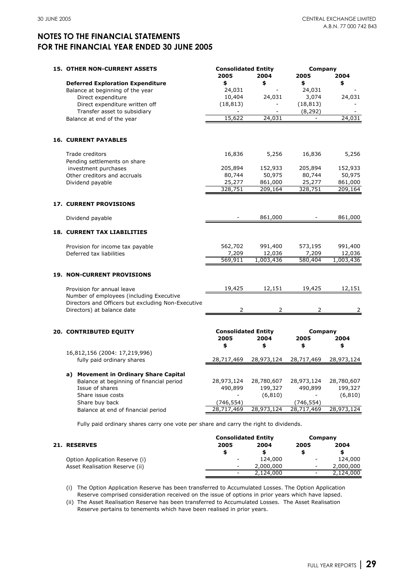| <b>15. OTHER NON-CURRENT ASSETS</b>                                                            | <b>Consolidated Entity</b>         |                     | Company               |                     |
|------------------------------------------------------------------------------------------------|------------------------------------|---------------------|-----------------------|---------------------|
|                                                                                                | 2005                               | 2004                | 2005                  | 2004                |
| <b>Deferred Exploration Expenditure</b>                                                        | \$                                 | \$                  | \$                    | \$                  |
| Balance at beginning of the year                                                               | 24,031                             |                     | 24,031                |                     |
| Direct expenditure                                                                             | 10,404                             | 24,031              | 3,074                 | 24,031              |
| Direct expenditure written off<br>Transfer asset to subsidiary                                 | (18, 813)                          | $\overline{a}$      | (18, 813)<br>(8, 292) |                     |
| Balance at end of the year                                                                     | 15,622                             | 24,031              |                       | 24,031              |
| <b>16. CURRENT PAYABLES</b>                                                                    |                                    |                     |                       |                     |
| Trade creditors                                                                                | 16,836                             | 5,256               | 16,836                | 5,256               |
| Pending settlements on share                                                                   |                                    |                     |                       |                     |
| investment purchases                                                                           | 205,894                            | 152,933             | 205,894               | 152,933             |
| Other creditors and accruals                                                                   | 80,744                             | 50,975              | 80,744                | 50,975              |
| Dividend payable                                                                               | 25,277<br>328,751                  | 861,000<br>209,164  | 25,277<br>328,751     | 861,000<br>209,164  |
| <b>17. CURRENT PROVISIONS</b>                                                                  |                                    |                     |                       |                     |
|                                                                                                |                                    |                     |                       |                     |
| Dividend payable                                                                               |                                    | 861,000             |                       | 861,000             |
| <b>18. CURRENT TAX LIABILITIES</b>                                                             |                                    |                     |                       |                     |
| Provision for income tax payable                                                               | 562,702                            | 991,400             | 573,195               | 991,400             |
| Deferred tax liabilities                                                                       | 7,209<br>569,911                   | 12,036<br>1,003,436 | 7,209<br>580,404      | 12,036<br>1,003,436 |
| <b>19. NON-CURRENT PROVISIONS</b>                                                              |                                    |                     |                       |                     |
| Provision for annual leave                                                                     | 19,425                             | 12,151              | 19,425                | 12,151              |
| Number of employees (including Executive<br>Directors and Officers but excluding Non-Executive |                                    |                     |                       |                     |
| Directors) at balance date                                                                     | 2                                  | 2                   | 2                     | 2                   |
| <b>20. CONTRIBUTED EQUITY</b>                                                                  | <b>Consolidated Entity</b><br>2005 | 2004                | Company<br>2005       | 2004                |
|                                                                                                | \$                                 | \$                  | \$                    | \$                  |
| 16,812,156 (2004: 17,219,996)                                                                  |                                    |                     |                       |                     |
| fully paid ordinary shares                                                                     | 28,717,469                         | 28,973,124          | 28,717,469            | 28,973,124          |
| a) Movement in Ordinary Share Capital                                                          |                                    |                     |                       |                     |
| Balance at beginning of financial period                                                       | 28,973,124                         | 28,780,607          | 28,973,124            | 28,780,607          |
| Issue of shares                                                                                | 490,899                            | 199,327             | 490,899               | 199,327             |
| Share issue costs                                                                              |                                    | (6, 810)            |                       | (6, 810)            |
| Share buy back                                                                                 | (746, 554)                         |                     | (746, 554)            |                     |
| Balance at end of financial period                                                             | 28,717,469                         | 28,973,124          | 28,717,469            | 28,973,124          |

|                                | <b>Consolidated Entity</b> |           | Company                  |           |
|--------------------------------|----------------------------|-----------|--------------------------|-----------|
| <b>21. RESERVES</b>            | 2005                       | 2004      | 2005                     | 2004      |
|                                |                            |           |                          |           |
| Option Application Reserve (i) | $\overline{\phantom{0}}$   | 124,000   | $\overline{\phantom{a}}$ | 124,000   |
| Asset Realisation Reserve (ii) |                            | 2,000,000 | $\overline{\phantom{a}}$ | 2,000,000 |
|                                |                            | 2,124,000 | $\overline{\phantom{a}}$ | 2,124,000 |

(i) The Option Application Reserve has been transferred to Accumulated Losses. The Option Application Reserve comprised consideration received on the issue of options in prior years which have lapsed.

(ii) The Asset Realisation Reserve has been transferred to Accumulated Losses. The Asset Realisation Reserve pertains to tenements which have been realised in prior years.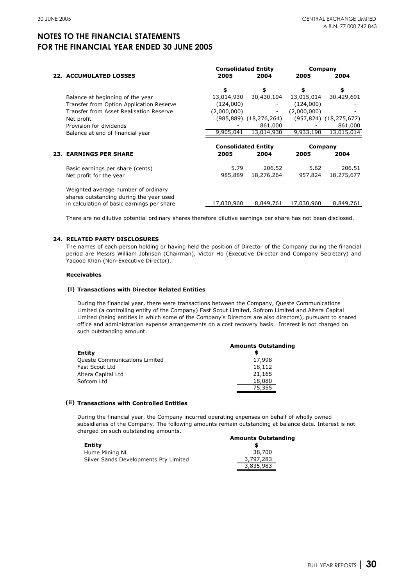|                                                                                | <b>Consolidated Entity</b> |                        | Company     |                               |
|--------------------------------------------------------------------------------|----------------------------|------------------------|-------------|-------------------------------|
| <b>22. ACCUMULATED LOSSES</b>                                                  | 2005                       | 2004                   | 2005        | 2004                          |
|                                                                                | \$                         | \$                     | \$          | \$                            |
| Balance at beginning of the year                                               | 13,014,930                 | 30,430,194             | 13,015,014  | 30,429,691                    |
| Transfer from Option Application Reserve                                       | (124,000)                  |                        | (124,000)   |                               |
| Transfer from Asset Realisation Reserve                                        | (2,000,000)                | -                      | (2,000,000) |                               |
| Net profit                                                                     |                            | (985,889) (18,276,264) |             | $(957, 824)$ $(18, 275, 677)$ |
| Provision for dividends                                                        |                            | 861,000                |             | 861,000                       |
| Balance at end of financial year                                               | 9,905,041                  | 13,014,930             | 9,933,190   | 13,015,014                    |
|                                                                                |                            |                        |             |                               |
|                                                                                | <b>Consolidated Entity</b> |                        |             | Company                       |
| <b>23. EARNINGS PER SHARE</b>                                                  | 2005                       | 2004                   | 2005        | 2004                          |
| Basic earnings per share (cents)                                               | 5.79                       | 206.52                 | 5.62        | 206.51                        |
| Net profit for the year                                                        | 985,889                    | 18,276,264             | 957,824     | 18,275,677                    |
| Weighted average number of ordinary<br>shares outstanding during the year used |                            | 8,849,761              | 17,030,960  | 8,849,761                     |

There are no dilutive potential ordinary shares therefore dilutive earnings per share has not been disclosed.

#### **24. RELATED PARTY DISCLOSURES**

The names of each person holding or having held the position of Director of the Company during the financial period are Messrs William Johnson (Chairman), Victor Ho (Executive Director and Company Secretary) and Yaqoob Khan (Non-Executive Director).

#### **Receivables**

#### **(i) Transactions with Director Related Entities**

During the financial year, there were transactions between the Company, Queste Communications Limited (a controlling entity of the Company) Fast Scout Limited, Sofcom Limited and Altera Capital Limited (being entities in which some of the Company's Directors are also directors), pursuant to shared office and administration expense arrangements on a cost recovery basis. Interest is not charged on such outstanding amount.

|                                      | <b>Amounts Outstanding</b> |
|--------------------------------------|----------------------------|
| Entity                               |                            |
| <b>Queste Communications Limited</b> | 17,998                     |
| Fast Scout Ltd                       | 18,112                     |
| Altera Capital Ltd                   | 21,165                     |
| Sofcom Ltd                           | 18,080                     |
|                                      | 75,355                     |

#### **(ii) Transactions with Controlled Entities**

During the financial year, the Company incurred operating expenses on behalf of wholly owned subsidiaries of the Company. The following amounts remain outstanding at balance date. Interest is not charged on such outstanding amounts.

|                                       | <b>Amounts Outstanding</b> |
|---------------------------------------|----------------------------|
| Entity                                |                            |
| Hume Mining NL                        | 38,700                     |
| Silver Sands Developments Pty Limited | 3,797,283                  |
|                                       | 3,835,983                  |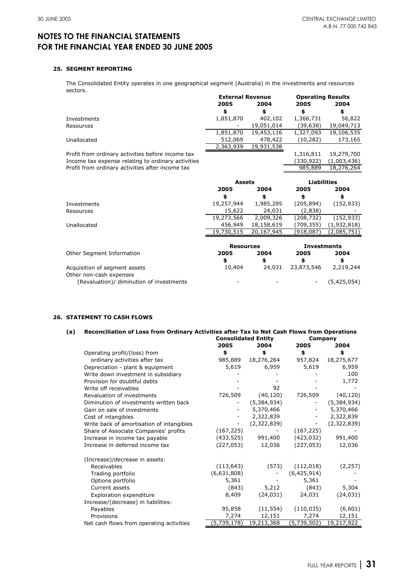- (5,425,054)

## **NOTES TO THE FINANCIAL STATEMENTS FOR THE FINANCIAL YEAR ENDED 30 JUNE 2005**

#### **25. SEGMENT REPORTING**

The Consolidated Entity operates in one geographical segment (Australia) in the investments and resources sectors.

| JULUI J.                                           | <b>External Revenue</b> |            | <b>Operating Results</b>   |             |  |
|----------------------------------------------------|-------------------------|------------|----------------------------|-------------|--|
|                                                    | 2005                    | 2004       | 2005                       | 2004        |  |
|                                                    | \$                      | \$         | \$                         | \$          |  |
| Investments                                        | 1,851,870               | 402,102    | 1,366,731                  | 56,822      |  |
| Resources                                          |                         | 19,051,014 | (39,638)                   | 19,049,713  |  |
|                                                    | 1,851,870               | 19,453,116 | 1,327,093                  | 19,106,535  |  |
| Unallocated                                        | 512,069                 | 478,422    | (10, 282)                  | 173,165     |  |
|                                                    | 2,363,939               | 19,931,538 |                            |             |  |
| Profit from ordinary activities before income tax  |                         |            | 1,316,811                  | 19,279,700  |  |
| Income tax expense relating to ordinary activities |                         |            | (330,922)                  | (1,003,436) |  |
| Profit from ordinary activities after income tax   |                         |            | 985,889                    | 18,276,264  |  |
|                                                    |                         |            |                            |             |  |
|                                                    | <b>Assets</b>           |            | <b>Liabilities</b>         |             |  |
|                                                    |                         |            |                            |             |  |
|                                                    | 2005                    | 2004       | 2005                       | 2004        |  |
|                                                    | \$                      | \$         | \$                         | \$          |  |
| Investments                                        | 19,257,944              | 1,985,295  | (205, 894)                 | (152, 933)  |  |
| Resources                                          | 15,622                  | 24,031     | (2,838)                    |             |  |
|                                                    | 19,273,566              | 2,009,326  | (208, 732)                 | (152, 933)  |  |
| Unallocated                                        | 456,949                 | 18,158,619 | (709,355)                  | (1,932,818) |  |
|                                                    | 19,730,515              | 20,167,945 | (918,087)                  | (2,085,751) |  |
|                                                    | <b>Resources</b>        |            |                            |             |  |
|                                                    | 2005                    | 2004       | <b>Investments</b><br>2005 | 2004        |  |
| Other Segment Information                          | \$                      | \$         | \$                         | \$          |  |

-

-

Other non-cash expenses (Revaluation)/ diminution of investments

### **26. STATEMENT TO CASH FLOWS**

| (a) | Reconciliation of Loss from Ordinary Activities after Tax to Net Cash Flows from Operations |             |                            |             |             |  |
|-----|---------------------------------------------------------------------------------------------|-------------|----------------------------|-------------|-------------|--|
|     |                                                                                             |             | <b>Consolidated Entity</b> | Company     |             |  |
|     |                                                                                             | 2005        | 2004                       | 2005        | 2004        |  |
|     | Operating profit/(loss) from                                                                | \$          | \$                         | \$          | \$          |  |
|     | ordinary activities after tax                                                               | 985,889     | 18,276,264                 | 957,824     | 18,275,677  |  |
|     | Depreciation - plant & equipment                                                            | 5,619       | 6,959                      | 5,619       | 6,959       |  |
|     | Write down investment in subsidiary                                                         |             |                            |             | 100         |  |
|     | Provision for doubtful debts                                                                |             |                            |             | 1,772       |  |
|     | Write off receivables                                                                       |             | 92                         |             |             |  |
|     | Revaluation of investments                                                                  | 726,509     | (40, 120)                  | 726,509     | (40, 120)   |  |
|     | Diminution of investments written back                                                      |             | (5,384,934)                |             | (5,384,934) |  |
|     | Gain on sale of investments                                                                 |             | 5,370,466                  |             | 5,370,466   |  |
|     | Cost of intangibles                                                                         |             | 2,322,839                  |             | 2,322,839   |  |
|     | Write back of amortisation of intangibles                                                   |             | (2,322,839)                |             | (2,322,839) |  |
|     | Share of Associate Companies' profits                                                       | (167, 225)  |                            | (167, 225)  |             |  |
|     | Increase in income tax payable                                                              | (433, 525)  | 991,400                    | (423, 032)  | 991,400     |  |
|     | Increase in deferred income tax                                                             | (227, 053)  | 12,036                     | (227, 053)  | 12,036      |  |
|     | (Increase)/decrease in assets:                                                              |             |                            |             |             |  |
|     | <b>Receivables</b>                                                                          | (113, 643)  | (573)                      | (112, 018)  | (2, 257)    |  |
|     | Trading portfolio                                                                           | (6,631,808) |                            | (6,425,914) |             |  |
|     | Options portfolio                                                                           | 5,361       |                            | 5,361       |             |  |
|     | Current assets                                                                              | (843)       | 5,212                      | (843)       | 5,304       |  |
|     | <b>Exploration expenditure</b>                                                              | 8,409       | (24, 031)                  | 24,031      | (24, 031)   |  |
|     | Increase/(decrease) in liabilities:                                                         |             |                            |             |             |  |
|     | Payables                                                                                    | 95,858      | (11, 554)                  | (110, 035)  | (6,601)     |  |
|     | Provisions                                                                                  | 7,274       | 12,151                     | 7,274       | 12,151      |  |
|     | Net cash flows from operating activities                                                    | (5,739,178) | 19,213,368                 | (5,739,502) | 19,217,922  |  |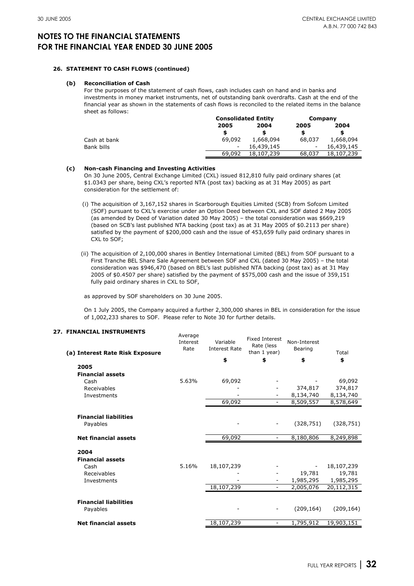#### **26. STATEMENT TO CASH FLOWS (continued)**

#### **(b) Reconciliation of Cash**

For the purposes of the statement of cash flows, cash includes cash on hand and in banks and investments in money market instruments, net of outstanding bank overdrafts. Cash at the end of the financial year as shown in the statements of cash flows is reconciled to the related items in the balance sheet as follows:

|              |                          | <b>Consolidated Entity</b> |                          | Company    |
|--------------|--------------------------|----------------------------|--------------------------|------------|
|              | 2005                     | 2004                       |                          | 2004       |
|              |                          |                            |                          |            |
| Cash at bank | 69,092                   | 1,668,094                  | 68,037                   | 1,668,094  |
| Bank bills   | $\overline{\phantom{a}}$ | 16,439,145                 | $\overline{\phantom{a}}$ | 16,439,145 |
|              | 69,092                   | 18,107,239                 | 68,037                   | 18,107,239 |

#### **(c) Non-cash Financing and Investing Activities**

On 30 June 2005, Central Exchange Limited (CXL) issued 812,810 fully paid ordinary shares (at \$1.0343 per share, being CXL's reported NTA (post tax) backing as at 31 May 2005) as part consideration for the settlement of:

- (i) The acquisition of 3,167,152 shares in Scarborough Equities Limited (SCB) from Sofcom Limited (SOF) pursuant to CXL's exercise under an Option Deed between CXL and SOF dated 2 May 2005 (as amended by Deed of Variation dated 30 May 2005) – the total consideration was \$669,219 (based on SCB's last published NTA backing (post tax) as at 31 May 2005 of \$0.2113 per share) satisfied by the payment of \$200,000 cash and the issue of 453,659 fully paid ordinary shares in CXL to SOF;
- (ii) The acquisition of 2,100,000 shares in Bentley International Limited (BEL) from SOF pursuant to a First Tranche BEL Share Sale Agreement between SOF and CXL (dated 30 May 2005) – the total consideration was \$946,470 (based on BEL's last published NTA backing (post tax) as at 31 May 2005 of \$0.4507 per share) satisfied by the payment of \$575,000 cash and the issue of 359,151 fully paid ordinary shares in CXL to SOF,

as approved by SOF shareholders on 30 June 2005.

On 1 July 2005, the Company acquired a further 2,300,000 shares in BEL in consideration for the issue of 1,002,233 shares to SOF. Please refer to Note 30 for further details.

Average

| (a) Interest Rate Risk Exposure          | Average<br>Interest<br>Rate | Variable<br><b>Interest Rate</b><br>\$ | <b>Fixed Interest</b><br>Rate (less<br>than 1 year)<br>\$ | Non-Interest<br>Bearing<br>\$ | Total<br>\$ |
|------------------------------------------|-----------------------------|----------------------------------------|-----------------------------------------------------------|-------------------------------|-------------|
| 2005                                     |                             |                                        |                                                           |                               |             |
| <b>Financial assets</b>                  |                             |                                        |                                                           |                               |             |
| Cash                                     | 5.63%                       | 69,092                                 |                                                           |                               | 69,092      |
| Receivables                              |                             |                                        |                                                           | 374,817                       | 374,817     |
| Investments                              |                             |                                        | $\overline{\phantom{a}}$                                  | 8,134,740                     | 8,134,740   |
|                                          |                             | 69,092                                 | $\overline{\phantom{a}}$                                  | 8,509,557                     | 8,578,649   |
| <b>Financial liabilities</b><br>Payables |                             |                                        |                                                           | (328, 751)                    | (328, 751)  |
| <b>Net financial assets</b>              |                             | 69,092                                 |                                                           | 8,180,806                     | 8,249,898   |
| 2004<br><b>Financial assets</b>          |                             |                                        |                                                           |                               |             |
| Cash                                     | 5.16%                       | 18,107,239                             |                                                           |                               | 18,107,239  |
| Receivables                              |                             |                                        |                                                           | 19,781                        | 19,781      |
| Investments                              |                             |                                        | $\overline{\phantom{a}}$                                  | 1,985,295                     | 1,985,295   |
|                                          |                             | 18,107,239                             | $\overline{\phantom{a}}$                                  | 2,005,076                     | 20,112,315  |
| <b>Financial liabilities</b>             |                             |                                        |                                                           |                               |             |
| Payables                                 |                             |                                        | $\overline{\phantom{a}}$                                  | (209, 164)                    | (209, 164)  |
| <b>Net financial assets</b>              |                             | 18,107,239                             | $\overline{\phantom{a}}$                                  | 1,795,912                     | 19,903,151  |

#### **27. FINANCIAL INSTRUMENTS**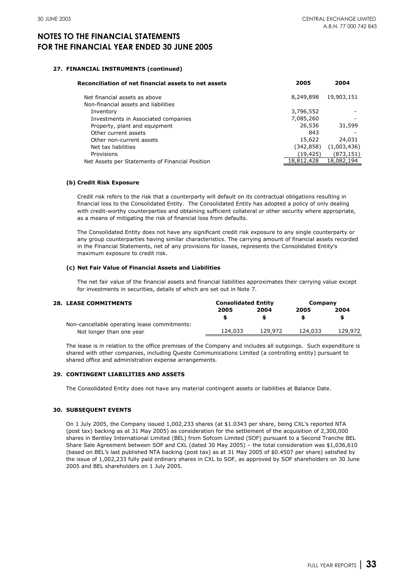#### **27. FINANCIAL INSTRUMENTS (continued)**

| Reconciliation of net financial assets to net assets | 2005       | 2004        |
|------------------------------------------------------|------------|-------------|
| Net financial assets as above                        | 8,249,898  | 19,903,151  |
| Non-financial assets and liabilities                 |            |             |
| Inventory                                            | 3,796,552  |             |
| Investments in Associated companies                  | 7,085,260  |             |
| Property, plant and equipment                        | 26,536     | 31,599      |
| Other current assets                                 | 843        |             |
| Other non-current assets                             | 15,622     | 24,031      |
| Net tax liabilities                                  | (342, 858) | (1,003,436) |
| Provisions                                           | (19, 425)  | (873, 151)  |
| Net Assets per Statements of Financial Position      | 18,812,428 | 18,082,194  |

#### **(b) Credit Risk Exposure**

Credit risk refers to the risk that a counterparty will default on its contractual obligations resulting in financial loss to the Consolidated Entity. The Consolidated Entity has adopted a policy of only dealing with credit-worthy counterparties and obtaining sufficient collateral or other security where appropriate, as a means of mitigating the risk of financial loss from defaults.

The Consolidated Entity does not have any significant credit risk exposure to any single counterparty or any group counterparties having similar characteristics. The carrying amount of financial assets recorded in the Financial Statements, net of any provisions for losses, represents the Consolidated Entity's maximum exposure to credit risk.

#### **(c) Net Fair Value of Financial Assets and Liabilities**

The net fair value of the financial assets and financial liabilities approximates their carrying value except for investments in securities, details of which are set out in Note 7.

**Consolidated Entity**

#### **28. LEASE COMMITMENTS**

| LEASE COMMITTENIS                            | CONSUNGICU ENGLY |         | CUIIIDAIIV |         |
|----------------------------------------------|------------------|---------|------------|---------|
|                                              | 2005             | 2004    | 2005       | 2004    |
|                                              |                  |         |            |         |
| Non-cancellable operating lease commitments: |                  |         |            |         |
| Not longer than one year                     | 124,033          | 129.972 | 124,033    | 129,972 |
|                                              |                  |         |            |         |

The lease is in relation to the office premises of the Company and includes all outgoings. Such expenditure is shared with other companies, including Queste Communications Limited (a controlling entity) pursuant to shared office and administration expense arrangements.

#### **29. CONTINGENT LIABILITIES AND ASSETS**

The Consolidated Entity does not have any material contingent assets or liabilities at Balance Date.

#### **30. SUBSEQUENT EVENTS**

On 1 July 2005, the Company issued 1,002,233 shares (at \$1.0343 per share, being CXL's reported NTA (post tax) backing as at 31 May 2005) as consideration for the settlement of the acquisition of 2,300,000 shares in Bentley International Limited (BEL) from Sofcom Limited (SOF) pursuant to a Second Tranche BEL Share Sale Agreement between SOF and CXL (dated 30 May 2005) – the total consideration was \$1,036,610 (based on BEL's last published NTA backing (post tax) as at 31 May 2005 of \$0.4507 per share) satisfied by the issue of 1,002,233 fully paid ordinary shares in CXL to SOF, as approved by SOF shareholders on 30 June 2005 and BEL shareholders on 1 July 2005.

**Company**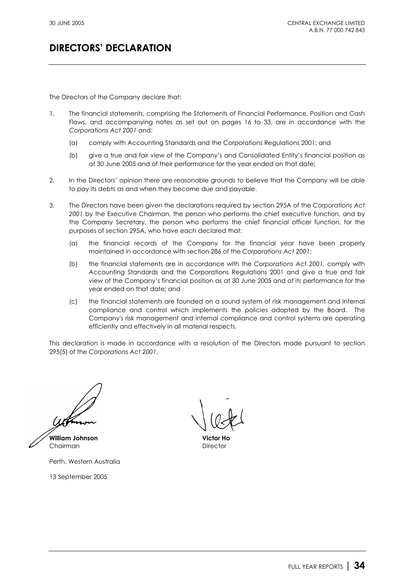The Directors of the Company declare that:

- 1. The financial statements, comprising the Statements of Financial Performance, Position and Cash Flows, and accompanying notes as set out on pages 16 to 33, are in accordance with the *Corporations Act 2001* and:
	- (a) comply with Accounting Standards and the Corporations Regulations 2001; and
	- (b) give a true and fair view of the Company's and Consolidated Entity's financial position as at 30 June 2005 and of their performance for the year ended on that date;
- 2. In the Directors' opinion there are reasonable grounds to believe that the Company will be able to pay its debts as and when they become due and payable.
- 3. The Directors have been given the declarations required by section 295A of the *Corporations Act 2001* by the Executive Chairman, the person who performs the chief executive function, and by the Company Secretary, the person who performs the chief financial officer function, for the purposes of section 295A, who have each declared that:
	- (a) the financial records of the Company for the financial year have been properly maintained in accordance with section 286 of the *Corporations Act 2001*;
	- (b) the financial statements are in accordance with the *Corporations Act 2001,* comply with Accounting Standards and the Corporations Regulations 2001 and give a true and fair view of the Company's financial position as at 30 June 2005 and of its performance for the year ended on that date; and
	- (c) the financial statements are founded on a sound system of risk management and internal compliance and control which implements the policies adopted by the Board. The Company's risk management and internal compliance and control systems are operating efficiently and effectively in all material respects.

This declaration is made in accordance with a resolution of the Directors made pursuant to section 295(5) of the *Corporations Act 2001*.

**William Johnson Victor Ho** Chairman **Director** Director

Perth, Western Australia

13 September 2005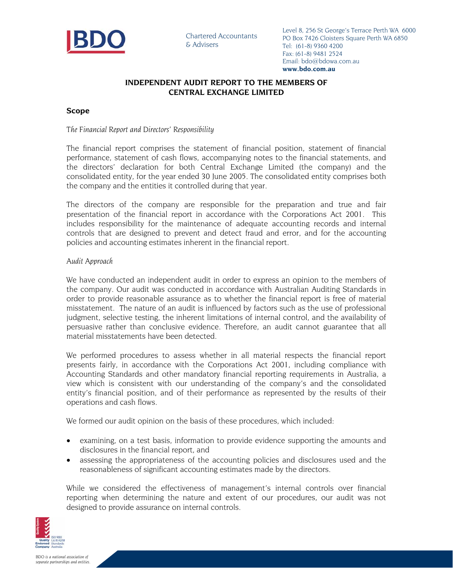

## **INDEPENDENT AUDIT REPORT TO THE MEMBERS OF CENTRAL EXCHANGE LIMITED**

### **Scope**

### *The Financial Report and Directors' Responsibility*

The financial report comprises the statement of financial position, statement of financial performance, statement of cash flows, accompanying notes to the financial statements, and the directors' declaration for both Central Exchange Limited (the company) and the consolidated entity, for the year ended 30 June 2005. The consolidated entity comprises both the company and the entities it controlled during that year.

The directors of the company are responsible for the preparation and true and fair presentation of the financial report in accordance with the Corporations Act 2001. This includes responsibility for the maintenance of adequate accounting records and internal controls that are designed to prevent and detect fraud and error, and for the accounting policies and accounting estimates inherent in the financial report.

### *Audit Approach*

We have conducted an independent audit in order to express an opinion to the members of the company. Our audit was conducted in accordance with Australian Auditing Standards in order to provide reasonable assurance as to whether the financial report is free of material misstatement. The nature of an audit is influenced by factors such as the use of professional judgment, selective testing, the inherent limitations of internal control, and the availability of persuasive rather than conclusive evidence. Therefore, an audit cannot guarantee that all material misstatements have been detected.

We performed procedures to assess whether in all material respects the financial report presents fairly, in accordance with the Corporations Act 2001, including compliance with Accounting Standards and other mandatory financial reporting requirements in Australia, a view which is consistent with our understanding of the company's and the consolidated entity's financial position, and of their performance as represented by the results of their operations and cash flows.

We formed our audit opinion on the basis of these procedures, which included:

- examining, on a test basis, information to provide evidence supporting the amounts and disclosures in the financial report, and
- assessing the appropriateness of the accounting policies and disclosures used and the reasonableness of significant accounting estimates made by the directors.

While we considered the effectiveness of management's internal controls over financial reporting when determining the nature and extent of our procedures, our audit was not designed to provide assurance on internal controls.

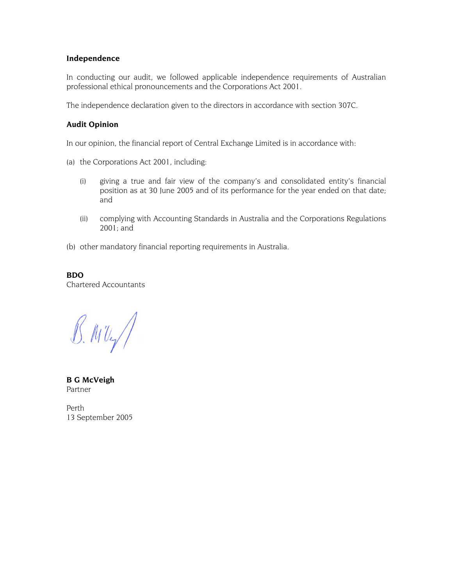### **Independence**

In conducting our audit, we followed applicable independence requirements of Australian professional ethical pronouncements and the Corporations Act 2001.

The independence declaration given to the directors in accordance with section 307C.

### **Audit Opinion**

In our opinion, the financial report of Central Exchange Limited is in accordance with:

- (a) the Corporations Act 2001, including:
	- (i) giving a true and fair view of the company's and consolidated entity's financial position as at 30 June 2005 and of its performance for the year ended on that date; and
	- (ii) complying with Accounting Standards in Australia and the Corporations Regulations 2001; and
- (b) other mandatory financial reporting requirements in Australia.

**BDO**  Chartered Accountants

 $B.$  MUg/

**B G McVeigh**  Partner

Perth 13 September 2005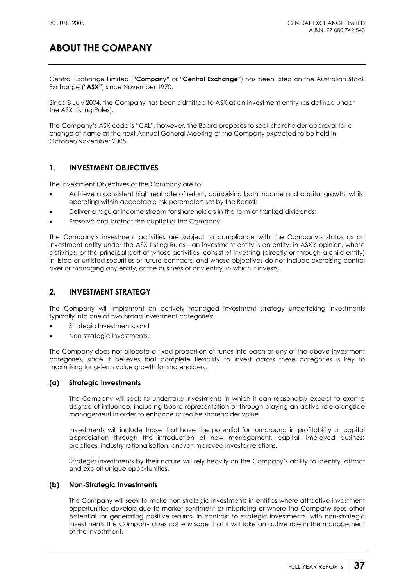Central Exchange Limited (**"Company"** or **"Central Exchange"**) has been listed on the Australian Stock Exchange (**"ASX"**) since November 1970.

Since 8 July 2004, the Company has been admitted to ASX as an investment entity (as defined under the ASX Listing Rules).

The Company's ASX code is "CXL", however, the Board proposes to seek shareholder approval for a change of name at the next Annual General Meeting of the Company expected to be held in October/November 2005.

## **1. INVESTMENT OBJECTIVES**

The Investment Objectives of the Company are to:

- Achieve a consistent high real rate of return, comprising both income and capital growth, whilst operating within acceptable risk parameters set by the Board;
- Deliver a regular income stream for shareholders in the form of franked dividends;
- Preserve and protect the capital of the Company.

The Company's investment activities are subject to compliance with the Company's status as an investment entity under the ASX Listing Rules - an investment entity is an entity, in ASX's opinion, whose activities, or the principal part of whose activities, consist of investing (directly or through a child entity) in listed or unlisted securities or future contracts, and whose objectives do not include exercising control over or managing any entity, or the business of any entity, in which it invests.

## **2. INVESTMENT STRATEGY**

The Company will implement an actively managed investment strategy undertaking investments typically into one of two broad investment categories:

- Strategic Investments; and
- Non-strategic Investments.

The Company does not allocate a fixed proportion of funds into each or any of the above investment categories, since it believes that complete flexibility to invest across these categories is key to maximising long-term value growth for shareholders.

### **(a) Strategic Investments**

The Company will seek to undertake investments in which it can reasonably expect to exert a degree of influence, including board representation or through playing an active role alongside management in order to enhance or realise shareholder value.

Investments will include those that have the potential for turnaround in profitability or capital appreciation through the introduction of new management, capital, improved business practices, industry rationalisation, and/or improved investor relations.

Strategic investments by their nature will rely heavily on the Company's ability to identify, attract and exploit unique opportunities.

### **(b) Non-Strategic Investments**

The Company will seek to make non-strategic investments in entities where attractive investment opportunities develop due to market sentiment or mispricing or where the Company sees other potential for generating positive returns. In contrast to strategic investments, with non-strategic investments the Company does not envisage that it will take an active role in the management of the investment.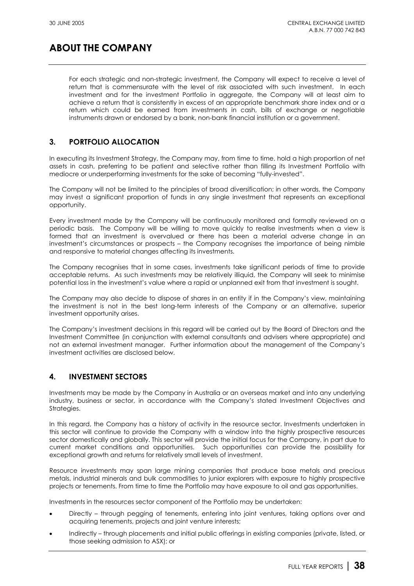For each strategic and non-strategic investment, the Company will expect to receive a level of return that is commensurate with the level of risk associated with such investment. In each investment and for the investment Portfolio in aggregate, the Company will at least aim to achieve a return that is consistently in excess of an appropriate benchmark share index and or a return which could be earned from investments in cash, bills of exchange or negotiable instruments drawn or endorsed by a bank, non-bank financial institution or a government.

## **3. PORTFOLIO ALLOCATION**

In executing its Investment Strategy, the Company may, from time to time, hold a high proportion of net assets in cash, preferring to be patient and selective rather than filling its Investment Portfolio with mediocre or underperforming investments for the sake of becoming "fully-invested".

The Company will not be limited to the principles of broad diversification; in other words, the Company may invest a significant proportion of funds in any single investment that represents an exceptional opportunity.

Every investment made by the Company will be continuously monitored and formally reviewed on a periodic basis. The Company will be willing to move quickly to realise investments when a view is formed that an investment is overvalued or there has been a material adverse change in an investment's circumstances or prospects – the Company recognises the importance of being nimble and responsive to material changes affecting its investments.

The Company recognises that in some cases, investments take significant periods of time to provide acceptable returns. As such investments may be relatively illiquid, the Company will seek to minimise potential loss in the investment's value where a rapid or unplanned exit from that investment is sought.

The Company may also decide to dispose of shares in an entity if in the Company's view, maintaining the investment is not in the best long-term interests of the Company or an alternative, superior investment opportunity arises.

The Company's investment decisions in this regard will be carried out by the Board of Directors and the Investment Committee (in conjunction with external consultants and advisers where appropriate) and not an external investment manager. Further information about the management of the Company's investment activities are disclosed below.

## **4. INVESTMENT SECTORS**

Investments may be made by the Company in Australia or an overseas market and into any underlying industry, business or sector, in accordance with the Company's stated Investment Objectives and Strategies.

In this regard, the Company has a history of activity in the resource sector. Investments undertaken in this sector will continue to provide the Company with a window into the highly prospective resources sector domestically and globally. This sector will provide the initial focus for the Company, in part due to current market conditions and opportunities. Such opportunities can provide the possibility for exceptional growth and returns for relatively small levels of investment.

Resource investments may span large mining companies that produce base metals and precious metals, industrial minerals and bulk commodities to junior explorers with exposure to highly prospective projects or tenements. From time to time the Portfolio may have exposure to oil and gas opportunities.

Investments in the resources sector component of the Portfolio may be undertaken:

- Directly through pegging of tenements, entering into joint ventures, taking options over and acquiring tenements, projects and joint venture interests;
- Indirectly through placements and initial public offerings in existing companies (private, listed, or those seeking admission to ASX); or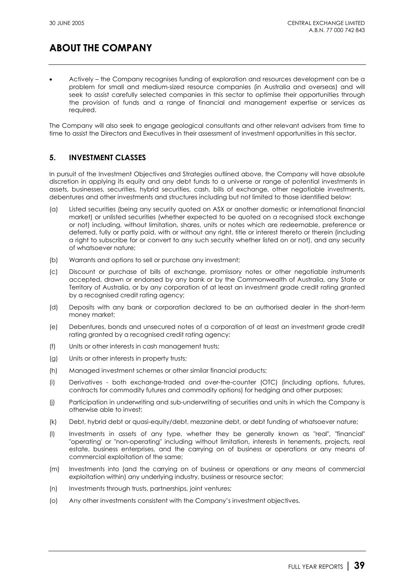• Actively – the Company recognises funding of exploration and resources development can be a problem for small and medium-sized resource companies (in Australia and overseas) and will seek to assist carefully selected companies in this sector to optimise their opportunities through the provision of funds and a range of financial and management expertise or services as required.

The Company will also seek to engage geological consultants and other relevant advisers from time to time to assist the Directors and Executives in their assessment of investment opportunities in this sector.

## **5. INVESTMENT CLASSES**

In pursuit of the Investment Objectives and Strategies outlined above, the Company will have absolute discretion in applying its equity and any debt funds to a universe or range of potential investments in assets, businesses, securities, hybrid securities, cash, bills of exchange, other negotiable investments, debentures and other investments and structures including but not limited to those identified below:

- (a) Listed securities (being any security quoted on ASX or another domestic or international financial market) or unlisted securities (whether expected to be quoted on a recognised stock exchange or not) including, without limitation, shares, units or notes which are redeemable, preference or deferred, fully or partly paid, with or without any right, title or interest thereto or therein (including a right to subscribe for or convert to any such security whether listed on or not), and any security of whatsoever nature;
- (b) Warrants and options to sell or purchase any investment;
- (c) Discount or purchase of bills of exchange, promissory notes or other negotiable instruments accepted, drawn or endorsed by any bank or by the Commonwealth of Australia, any State or Territory of Australia, or by any corporation of at least an investment grade credit rating granted by a recognised credit rating agency;
- (d) Deposits with any bank or corporation declared to be an authorised dealer in the short-term money market;
- (e) Debentures, bonds and unsecured notes of a corporation of at least an investment grade credit rating granted by a recognised credit rating agency;
- (f) Units or other interests in cash management trusts;
- (g) Units or other interests in property trusts;
- (h) Managed investment schemes or other similar financial products;
- (i) Derivatives both exchange-traded and over-the-counter (OTC) (including options, futures, contracts for commodity futures and commodity options) for hedging and other purposes;
- (j) Participation in underwriting and sub-underwriting of securities and units in which the Company is otherwise able to invest;
- (k) Debt, hybrid debt or quasi-equity/debt, mezzanine debt, or debt funding of whatsoever nature;
- (l) Investments in assets of any type, whether they be generally known as "real", "financial" "operating' or "non-operating" including without limitation, interests in tenements, projects, real estate, business enterprises, and the carrying on of business or operations or any means of commercial exploitation of the same;
- (m) Investments into (and the carrying on of business or operations or any means of commercial exploitation within) any underlying industry, business or resource sector;
- (n) Investments through trusts, partnerships, joint ventures;
- (o) Any other investments consistent with the Company's investment objectives.